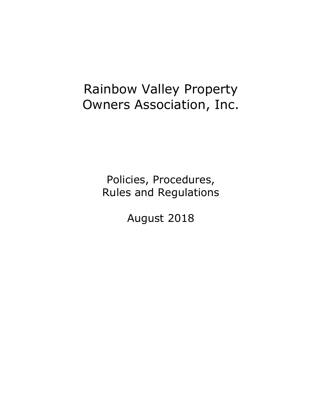# Rainbow Valley Property Owners Association, Inc.

Policies, Procedures, Rules and Regulations

August 2018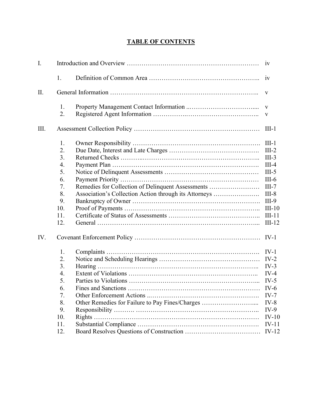# **TABLE OF CONTENTS**

| I.   |                  |                                                       |              |  |  |
|------|------------------|-------------------------------------------------------|--------------|--|--|
|      | 1.               |                                                       | iv           |  |  |
| II.  |                  |                                                       |              |  |  |
|      | 1.               |                                                       | $\mathbf{V}$ |  |  |
|      | 2.               |                                                       | V            |  |  |
| III. |                  |                                                       | $III-1$      |  |  |
|      | 1.               |                                                       | $III-1$      |  |  |
|      | 2.               |                                                       | $III-2$      |  |  |
|      | 3.               |                                                       | $III-3$      |  |  |
|      | $\overline{4}$ . |                                                       | $III-4$      |  |  |
|      | 5.               |                                                       | $III-5$      |  |  |
|      | 6.               |                                                       | $III-6$      |  |  |
|      | 7.               | Remedies for Collection of Delinquent Assessments     | $III-7$      |  |  |
|      | 8.               | Association's Collection Action through its Attorneys | $III-8$      |  |  |
|      | 9.               |                                                       | $III-9$      |  |  |
|      | 10.              |                                                       | $III-10$     |  |  |
|      | 11.              |                                                       | $III-11$     |  |  |
|      | 12.              |                                                       | $III-12$     |  |  |
| IV.  |                  |                                                       |              |  |  |
|      | 1.               |                                                       | $IV-1$       |  |  |
|      | 2.               |                                                       | $IV-2$       |  |  |
|      | 3.               |                                                       | $IV-3$       |  |  |
|      | 4.               |                                                       | $IV-4$       |  |  |
|      | 5.               |                                                       | $IV-5$       |  |  |
|      | 6.               |                                                       | $IV-6$       |  |  |
|      | 7.               |                                                       | $IV-7$       |  |  |
|      | 8.               | Other Remedies for Failure to Pay Fines/Charges       | $IV-8$       |  |  |
|      | 9.               |                                                       | $IV-9$       |  |  |
|      | 10.              |                                                       | $IV-10$      |  |  |
|      | 11.              |                                                       | $IV-11$      |  |  |
|      | 12.              |                                                       | $IV-12$      |  |  |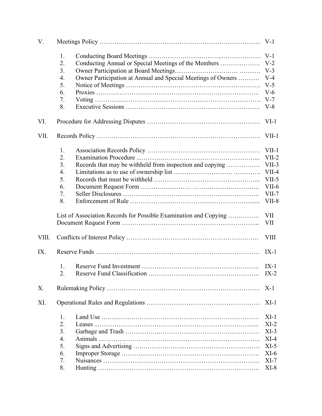| V.    |                                                                  |                                                              |             |  |  |
|-------|------------------------------------------------------------------|--------------------------------------------------------------|-------------|--|--|
|       | 1.                                                               |                                                              |             |  |  |
|       | 2.                                                               | Conducting Annual or Special Meetings of the Members         | $V-2$       |  |  |
|       | 3.                                                               |                                                              | $V-3$       |  |  |
|       | 4.                                                               | Owner Participation at Annual and Special Meetings of Owners | $V-4$       |  |  |
|       | 5.                                                               |                                                              | $V-5$       |  |  |
|       | 6.                                                               |                                                              | $V-6$       |  |  |
|       | 7.                                                               |                                                              | $V-7$       |  |  |
|       | 8.                                                               |                                                              | $V-8$       |  |  |
| VI.   |                                                                  |                                                              | $VI-1$      |  |  |
| VII.  | VII-1                                                            |                                                              |             |  |  |
|       | 1.                                                               |                                                              | $VII-1$     |  |  |
|       | 2.                                                               |                                                              | $VII-2$     |  |  |
|       | 3.                                                               | Records that may be withheld from inspection and copying     | $VII-3$     |  |  |
|       | 4.                                                               |                                                              | $VII-4$     |  |  |
|       | 5.                                                               |                                                              | $VII-5$     |  |  |
|       | 6.                                                               |                                                              | $VII-6$     |  |  |
|       | 7.                                                               |                                                              | $VII-7$     |  |  |
|       | 8.                                                               |                                                              | $VII-8$     |  |  |
|       | List of Association Records for Possible Examination and Copying |                                                              |             |  |  |
|       |                                                                  |                                                              | VII         |  |  |
| VIII. |                                                                  |                                                              | <b>VIII</b> |  |  |
| IX.   |                                                                  |                                                              | $IX-1$      |  |  |
|       | 1.                                                               |                                                              | $IX-1$      |  |  |
|       | 2.                                                               |                                                              | $IX-2$      |  |  |
| Χ.    |                                                                  |                                                              | $X-1$       |  |  |
| XI.   |                                                                  |                                                              | $XI-1$      |  |  |
|       | 1.                                                               |                                                              | $XI-1$      |  |  |
|       | 2.                                                               |                                                              | $XI-2$      |  |  |
|       | 3.                                                               |                                                              | $XI-3$      |  |  |
|       | 4.                                                               |                                                              | $XI-4$      |  |  |
|       | 5.                                                               |                                                              | $XI-5$      |  |  |
|       | 6.                                                               |                                                              | $XI-6$      |  |  |
|       | 7.                                                               |                                                              | $XI-7$      |  |  |
|       | 8.                                                               |                                                              | $XI-8$      |  |  |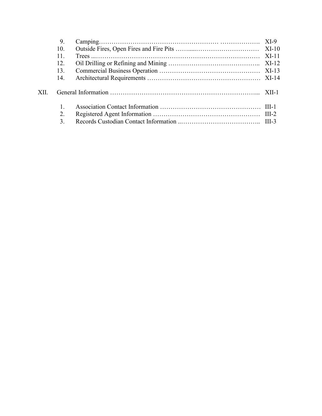|      | 9.  |  |
|------|-----|--|
|      | 10. |  |
|      | 11. |  |
|      | 12. |  |
|      | 13. |  |
|      | 14. |  |
| XII. |     |  |
|      |     |  |
|      | 2.  |  |
|      | 3.  |  |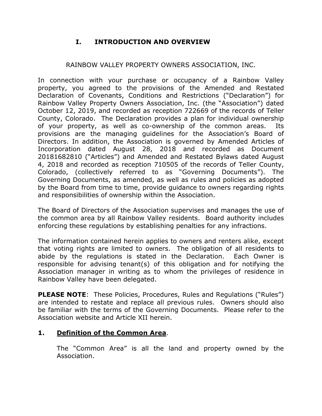# **I. INTRODUCTION AND OVERVIEW**

#### RAINBOW VALLEY PROPERTY OWNERS ASSOCIATION, INC.

In connection with your purchase or occupancy of a Rainbow Valley property, you agreed to the provisions of the Amended and Restated Declaration of Covenants, Conditions and Restrictions ("Declaration") for Rainbow Valley Property Owners Association, Inc. (the "Association") dated October 12, 2019, and recorded as reception 722669 of the records of Teller County, Colorado. The Declaration provides a plan for individual ownership of your property, as well as co-ownership of the common areas. Its provisions are the managing guidelines for the Association's Board of Directors. In addition, the Association is governed by Amended Articles of Incorporation dated August 28, 2018 and recorded as Document 20181682810 ("Articles") and Amended and Restated Bylaws dated August 4, 2018 and recorded as reception 710505 of the records of Teller County, Colorado, (collectively referred to as "Governing Documents"). The Governing Documents, as amended, as well as rules and policies as adopted by the Board from time to time, provide guidance to owners regarding rights and responsibilities of ownership within the Association.

The Board of Directors of the Association supervises and manages the use of the common area by all Rainbow Valley residents. Board authority includes enforcing these regulations by establishing penalties for any infractions.

The information contained herein applies to owners and renters alike, except that voting rights are limited to owners. The obligation of all residents to abide by the regulations is stated in the Declaration. Each Owner is responsible for advising tenant(s) of this obligation and for notifying the Association manager in writing as to whom the privileges of residence in Rainbow Valley have been delegated.

**PLEASE NOTE:** These Policies, Procedures, Rules and Regulations ("Rules") are intended to restate and replace all previous rules. Owners should also be familiar with the terms of the Governing Documents. Please refer to the Association website and Article XII herein.

# **1. Definition of the Common Area**.

The "Common Area" is all the land and property owned by the Association.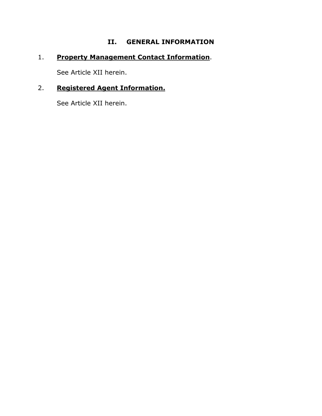# **II. GENERAL INFORMATION**

# 1. **Property Management Contact Information**.

See Article XII herein.

# 2. **Registered Agent Information.**

See Article XII herein.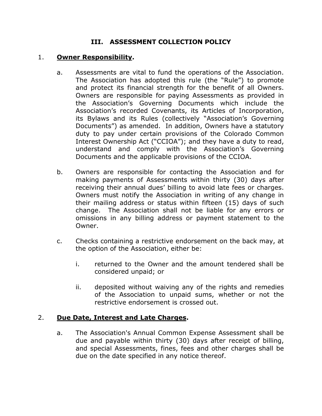# **III. ASSESSMENT COLLECTION POLICY**

#### 1. **Owner Responsibility.**

- a. Assessments are vital to fund the operations of the Association. The Association has adopted this rule (the "Rule") to promote and protect its financial strength for the benefit of all Owners. Owners are responsible for paying Assessments as provided in the Association's Governing Documents which include the Association's recorded Covenants, its Articles of Incorporation, its Bylaws and its Rules (collectively "Association's Governing Documents") as amended. In addition, Owners have a statutory duty to pay under certain provisions of the Colorado Common Interest Ownership Act ("CCIOA"); and they have a duty to read, understand and comply with the Association's Governing Documents and the applicable provisions of the CCIOA.
- b. Owners are responsible for contacting the Association and for making payments of Assessments within thirty (30) days after receiving their annual dues' billing to avoid late fees or charges. Owners must notify the Association in writing of any change in their mailing address or status within fifteen (15) days of such change. The Association shall not be liable for any errors or omissions in any billing address or payment statement to the Owner.
- c. Checks containing a restrictive endorsement on the back may, at the option of the Association, either be:
	- i. returned to the Owner and the amount tendered shall be considered unpaid; or
	- ii. deposited without waiving any of the rights and remedies of the Association to unpaid sums, whether or not the restrictive endorsement is crossed out.

#### 2. **Due Date, Interest and Late Charges.**

a. The Association's Annual Common Expense Assessment shall be due and payable within thirty (30) days after receipt of billing, and special Assessments, fines, fees and other charges shall be due on the date specified in any notice thereof.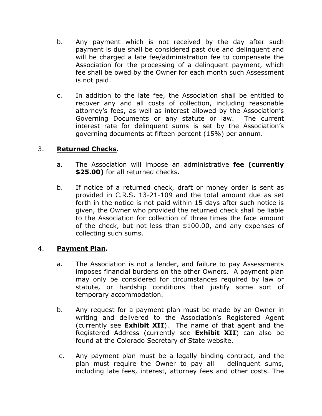- b. Any payment which is not received by the day after such payment is due shall be considered past due and delinquent and will be charged a late fee/administration fee to compensate the Association for the processing of a delinquent payment, which fee shall be owed by the Owner for each month such Assessment is not paid.
- c. In addition to the late fee, the Association shall be entitled to recover any and all costs of collection, including reasonable attorney's fees, as well as interest allowed by the Association's Governing Documents or any statute or law. The current interest rate for delinquent sums is set by the Association's governing documents at fifteen percent (15%) per annum.

#### 3. **Returned Checks.**

- a. The Association will impose an administrative **fee (currently \$25.00)** for all returned checks.
- b. If notice of a returned check, draft or money order is sent as provided in C.R.S. 13-21-109 and the total amount due as set forth in the notice is not paid within 15 days after such notice is given, the Owner who provided the returned check shall be liable to the Association for collection of three times the face amount of the check, but not less than \$100.00, and any expenses of collecting such sums.

#### 4. **Payment Plan.**

- a. The Association is not a lender, and failure to pay Assessments imposes financial burdens on the other Owners. A payment plan may only be considered for circumstances required by law or statute, or hardship conditions that justify some sort of temporary accommodation.
- b. Any request for a payment plan must be made by an Owner in writing and delivered to the Association's Registered Agent (currently see **Exhibit XII**). The name of that agent and the Registered Address (currently see **Exhibit XII**) can also be found at the Colorado Secretary of State website.
- c. Any payment plan must be a legally binding contract, and the plan must require the Owner to pay all delinquent sums, including late fees, interest, attorney fees and other costs. The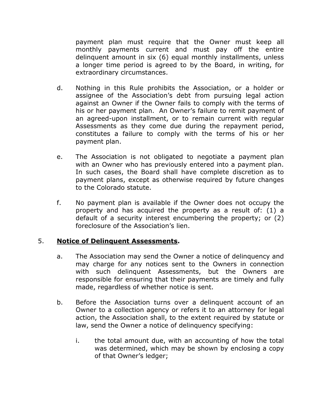payment plan must require that the Owner must keep all monthly payments current and must pay off the entire delinquent amount in six (6) equal monthly installments, unless a longer time period is agreed to by the Board, in writing, for extraordinary circumstances.

- d. Nothing in this Rule prohibits the Association, or a holder or assignee of the Association's debt from pursuing legal action against an Owner if the Owner fails to comply with the terms of his or her payment plan. An Owner's failure to remit payment of an agreed-upon installment, or to remain current with regular Assessments as they come due during the repayment period, constitutes a failure to comply with the terms of his or her payment plan.
- e. The Association is not obligated to negotiate a payment plan with an Owner who has previously entered into a payment plan. In such cases, the Board shall have complete discretion as to payment plans, except as otherwise required by future changes to the Colorado statute.
- f. No payment plan is available if the Owner does not occupy the property and has acquired the property as a result of: (1) a default of a security interest encumbering the property; or (2) foreclosure of the Association's lien.

#### 5. **Notice of Delinquent Assessments.**

- a. The Association may send the Owner a notice of delinquency and may charge for any notices sent to the Owners in connection with such delinquent Assessments, but the Owners are responsible for ensuring that their payments are timely and fully made, regardless of whether notice is sent.
- b. Before the Association turns over a delinquent account of an Owner to a collection agency or refers it to an attorney for legal action, the Association shall, to the extent required by statute or law, send the Owner a notice of delinquency specifying:
	- i. the total amount due, with an accounting of how the total was determined, which may be shown by enclosing a copy of that Owner's ledger;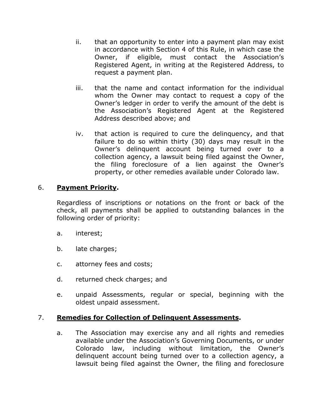- ii. that an opportunity to enter into a payment plan may exist in accordance with Section 4 of this Rule, in which case the Owner, if eligible, must contact the Association's Registered Agent, in writing at the Registered Address, to request a payment plan.
- iii. that the name and contact information for the individual whom the Owner may contact to request a copy of the Owner's ledger in order to verify the amount of the debt is the Association's Registered Agent at the Registered Address described above; and
- iv. that action is required to cure the delinquency, and that failure to do so within thirty (30) days may result in the Owner's delinquent account being turned over to a collection agency, a lawsuit being filed against the Owner, the filing foreclosure of a lien against the Owner's property, or other remedies available under Colorado law.

# 6. **Payment Priority.**

Regardless of inscriptions or notations on the front or back of the check, all payments shall be applied to outstanding balances in the following order of priority:

- a. interest;
- b. late charges;
- c. attorney fees and costs;
- d. returned check charges; and
- e. unpaid Assessments, regular or special, beginning with the oldest unpaid assessment.

#### 7. **Remedies for Collection of Delinquent Assessments.**

a. The Association may exercise any and all rights and remedies available under the Association's Governing Documents, or under Colorado law, including without limitation, the Owner's delinquent account being turned over to a collection agency, a lawsuit being filed against the Owner, the filing and foreclosure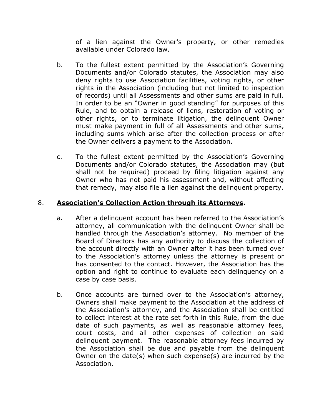of a lien against the Owner's property, or other remedies available under Colorado law.

- b. To the fullest extent permitted by the Association's Governing Documents and/or Colorado statutes, the Association may also deny rights to use Association facilities, voting rights, or other rights in the Association (including but not limited to inspection of records) until all Assessments and other sums are paid in full. In order to be an "Owner in good standing" for purposes of this Rule, and to obtain a release of liens, restoration of voting or other rights, or to terminate litigation, the delinquent Owner must make payment in full of all Assessments and other sums, including sums which arise after the collection process or after the Owner delivers a payment to the Association.
- c. To the fullest extent permitted by the Association's Governing Documents and/or Colorado statutes, the Association may (but shall not be required) proceed by filing litigation against any Owner who has not paid his assessment and, without affecting that remedy, may also file a lien against the delinquent property.

#### 8. **Association's Collection Action through its Attorneys.**

- a. After a delinquent account has been referred to the Association's attorney, all communication with the delinquent Owner shall be handled through the Association's attorney. No member of the Board of Directors has any authority to discuss the collection of the account directly with an Owner after it has been turned over to the Association's attorney unless the attorney is present or has consented to the contact. However, the Association has the option and right to continue to evaluate each delinquency on a case by case basis.
- b. Once accounts are turned over to the Association's attorney, Owners shall make payment to the Association at the address of the Association's attorney, and the Association shall be entitled to collect interest at the rate set forth in this Rule, from the due date of such payments, as well as reasonable attorney fees, court costs, and all other expenses of collection on said delinquent payment. The reasonable attorney fees incurred by the Association shall be due and payable from the delinquent Owner on the date(s) when such expense(s) are incurred by the Association.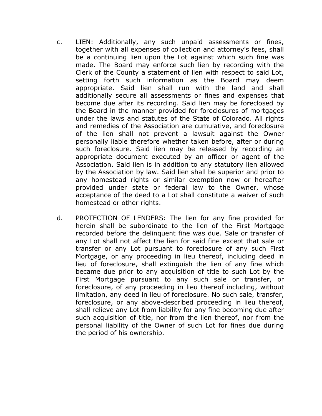- c. LIEN: Additionally, any such unpaid assessments or fines, together with all expenses of collection and attorney's fees, shall be a continuing lien upon the Lot against which such fine was made. The Board may enforce such lien by recording with the Clerk of the County a statement of lien with respect to said Lot, setting forth such information as the Board may deem appropriate. Said lien shall run with the land and shall additionally secure all assessments or fines and expenses that become due after its recording. Said lien may be foreclosed by the Board in the manner provided for foreclosures of mortgages under the laws and statutes of the State of Colorado. All rights and remedies of the Association are cumulative, and foreclosure of the lien shall not prevent a lawsuit against the Owner personally liable therefore whether taken before, after or during such foreclosure. Said lien may be released by recording an appropriate document executed by an officer or agent of the Association. Said lien is in addition to any statutory lien allowed by the Association by law. Said lien shall be superior and prior to any homestead rights or similar exemption now or hereafter provided under state or federal law to the Owner, whose acceptance of the deed to a Lot shall constitute a waiver of such homestead or other rights.
- d. PROTECTION OF LENDERS: The lien for any fine provided for herein shall be subordinate to the lien of the First Mortgage recorded before the delinquent fine was due. Sale or transfer of any Lot shall not affect the lien for said fine except that sale or transfer or any Lot pursuant to foreclosure of any such First Mortgage, or any proceeding in lieu thereof, including deed in lieu of foreclosure, shall extinguish the lien of any fine which became due prior to any acquisition of title to such Lot by the First Mortgage pursuant to any such sale or transfer, or foreclosure, of any proceeding in lieu thereof including, without limitation, any deed in lieu of foreclosure. No such sale, transfer, foreclosure, or any above-described proceeding in lieu thereof, shall relieve any Lot from liability for any fine becoming due after such acquisition of title, nor from the lien thereof, nor from the personal liability of the Owner of such Lot for fines due during the period of his ownership.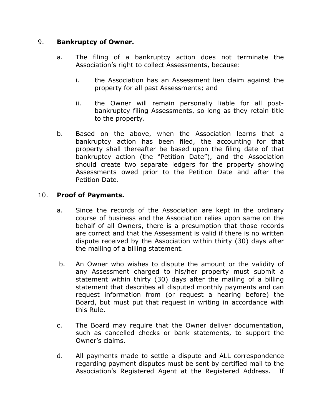#### 9. **Bankruptcy of Owner.**

- a. The filing of a bankruptcy action does not terminate the Association's right to collect Assessments, because:
	- i. the Association has an Assessment lien claim against the property for all past Assessments; and
	- ii. the Owner will remain personally liable for all postbankruptcy filing Assessments, so long as they retain title to the property.
- b. Based on the above, when the Association learns that a bankruptcy action has been filed, the accounting for that property shall thereafter be based upon the filing date of that bankruptcy action (the "Petition Date"), and the Association should create two separate ledgers for the property showing Assessments owed prior to the Petition Date and after the Petition Date.

# 10. **Proof of Payments.**

- a. Since the records of the Association are kept in the ordinary course of business and the Association relies upon same on the behalf of all Owners, there is a presumption that those records are correct and that the Assessment is valid if there is no written dispute received by the Association within thirty (30) days after the mailing of a billing statement.
- b. An Owner who wishes to dispute the amount or the validity of any Assessment charged to his/her property must submit a statement within thirty (30) days after the mailing of a billing statement that describes all disputed monthly payments and can request information from (or request a hearing before) the Board, but must put that request in writing in accordance with this Rule.
- c. The Board may require that the Owner deliver documentation, such as cancelled checks or bank statements, to support the Owner's claims.
- d. All payments made to settle a dispute and ALL correspondence regarding payment disputes must be sent by certified mail to the Association's Registered Agent at the Registered Address. If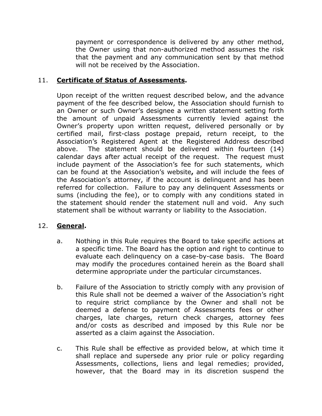payment or correspondence is delivered by any other method, the Owner using that non-authorized method assumes the risk that the payment and any communication sent by that method will not be received by the Association.

# 11. **Certificate of Status of Assessments.**

Upon receipt of the written request described below, and the advance payment of the fee described below, the Association should furnish to an Owner or such Owner's designee a written statement setting forth the amount of unpaid Assessments currently levied against the Owner's property upon written request, delivered personally or by certified mail, first-class postage prepaid, return receipt, to the Association's Registered Agent at the Registered Address described above. The statement should be delivered within fourteen (14) calendar days after actual receipt of the request. The request must include payment of the Association's fee for such statements, which can be found at the Association's website**,** and will include the fees of the Association's attorney, if the account is delinquent and has been referred for collection. Failure to pay any delinquent Assessments or sums (including the fee), or to comply with any conditions stated in the statement should render the statement null and void. Any such statement shall be without warranty or liability to the Association.

#### 12. **General.**

- a. Nothing in this Rule requires the Board to take specific actions at a specific time. The Board has the option and right to continue to evaluate each delinquency on a case-by-case basis. The Board may modify the procedures contained herein as the Board shall determine appropriate under the particular circumstances.
- b. Failure of the Association to strictly comply with any provision of this Rule shall not be deemed a waiver of the Association's right to require strict compliance by the Owner and shall not be deemed a defense to payment of Assessments fees or other charges, late charges, return check charges, attorney fees and/or costs as described and imposed by this Rule nor be asserted as a claim against the Association.
- c. This Rule shall be effective as provided below, at which time it shall replace and supersede any prior rule or policy regarding Assessments, collections, liens and legal remedies; provided, however, that the Board may in its discretion suspend the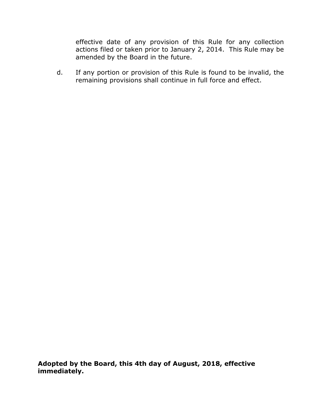effective date of any provision of this Rule for any collection actions filed or taken prior to January 2, 2014. This Rule may be amended by the Board in the future.

d. If any portion or provision of this Rule is found to be invalid, the remaining provisions shall continue in full force and effect.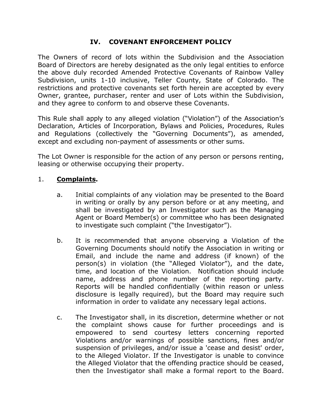# **IV. COVENANT ENFORCEMENT POLICY**

The Owners of record of lots within the Subdivision and the Association Board of Directors are hereby designated as the only legal entities to enforce the above duly recorded Amended Protective Covenants of Rainbow Valley Subdivision, units 1-10 inclusive, Teller County, State of Colorado. The restrictions and protective covenants set forth herein are accepted by every Owner, grantee, purchaser, renter and user of Lots within the Subdivision, and they agree to conform to and observe these Covenants.

This Rule shall apply to any alleged violation ("Violation") of the Association's Declaration, Articles of Incorporation, Bylaws and Policies, Procedures, Rules and Regulations (collectively the "Governing Documents"), as amended, except and excluding non-payment of assessments or other sums.

The Lot Owner is responsible for the action of any person or persons renting, leasing or otherwise occupying their property.

#### 1. **Complaints.**

- a. Initial complaints of any violation may be presented to the Board in writing or orally by any person before or at any meeting, and shall be investigated by an Investigator such as the Managing Agent or Board Member(s) or committee who has been designated to investigate such complaint ("the Investigator").
- b. It is recommended that anyone observing a Violation of the Governing Documents should notify the Association in writing or Email, and include the name and address (if known) of the person(s) in violation (the "Alleged Violator"), and the date, time, and location of the Violation. Notification should include name, address and phone number of the reporting party. Reports will be handled confidentially (within reason or unless disclosure is legally required), but the Board may require such information in order to validate any necessary legal actions.
- c. The Investigator shall, in its discretion, determine whether or not the complaint shows cause for further proceedings and is empowered to send courtesy letters concerning reported Violations and/or warnings of possible sanctions, fines and/or suspension of privileges, and/or issue a 'cease and desist' order, to the Alleged Violator. If the Investigator is unable to convince the Alleged Violator that the offending practice should be ceased, then the Investigator shall make a formal report to the Board.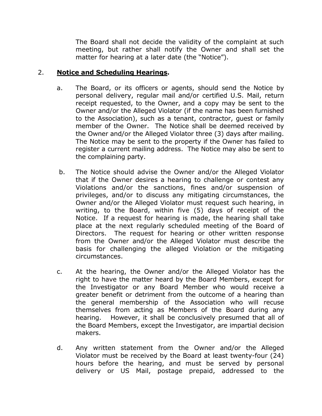The Board shall not decide the validity of the complaint at such meeting, but rather shall notify the Owner and shall set the matter for hearing at a later date (the "Notice").

#### 2. **Notice and Scheduling Hearings.**

- a. The Board, or its officers or agents, should send the Notice by personal delivery, regular mail and/or certified U.S. Mail, return receipt requested, to the Owner, and a copy may be sent to the Owner and/or the Alleged Violator (if the name has been furnished to the Association), such as a tenant, contractor, guest or family member of the Owner. The Notice shall be deemed received by the Owner and/or the Alleged Violator three (3) days after mailing. The Notice may be sent to the property if the Owner has failed to register a current mailing address. The Notice may also be sent to the complaining party.
- b. The Notice should advise the Owner and/or the Alleged Violator that if the Owner desires a hearing to challenge or contest any Violations and/or the sanctions, fines and/or suspension of privileges, and/or to discuss any mitigating circumstances, the Owner and/or the Alleged Violator must request such hearing, in writing, to the Board, within five (5) days of receipt of the Notice. If a request for hearing is made, the hearing shall take place at the next regularly scheduled meeting of the Board of Directors. The request for hearing or other written response from the Owner and/or the Alleged Violator must describe the basis for challenging the alleged Violation or the mitigating circumstances.
- c. At the hearing, the Owner and/or the Alleged Violator has the right to have the matter heard by the Board Members, except for the Investigator or any Board Member who would receive a greater benefit or detriment from the outcome of a hearing than the general membership of the Association who will recuse themselves from acting as Members of the Board during any hearing. However, it shall be conclusively presumed that all of the Board Members, except the Investigator, are impartial decision makers.
- d. Any written statement from the Owner and/or the Alleged Violator must be received by the Board at least twenty-four (24) hours before the hearing, and must be served by personal delivery or US Mail, postage prepaid, addressed to the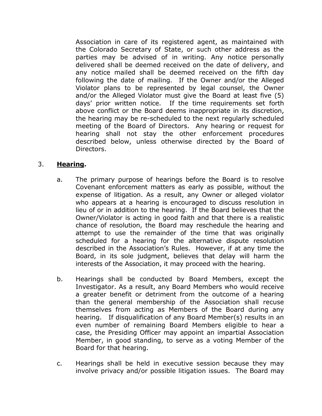Association in care of its registered agent, as maintained with the Colorado Secretary of State, or such other address as the parties may be advised of in writing. Any notice personally delivered shall be deemed received on the date of delivery, and any notice mailed shall be deemed received on the fifth day following the date of mailing. If the Owner and/or the Alleged Violator plans to be represented by legal counsel, the Owner and/or the Alleged Violator must give the Board at least five (5) days' prior written notice. If the time requirements set forth above conflict or the Board deems inappropriate in its discretion, the hearing may be re-scheduled to the next regularly scheduled meeting of the Board of Directors. Any hearing or request for hearing shall not stay the other enforcement procedures described below, unless otherwise directed by the Board of Directors.

# 3. **Hearing.**

- a. The primary purpose of hearings before the Board is to resolve Covenant enforcement matters as early as possible, without the expense of litigation. As a result, any Owner or alleged violator who appears at a hearing is encouraged to discuss resolution in lieu of or in addition to the hearing. If the Board believes that the Owner/Violator is acting in good faith and that there is a realistic chance of resolution, the Board may reschedule the hearing and attempt to use the remainder of the time that was originally scheduled for a hearing for the alternative dispute resolution described in the Association's Rules. However, if at any time the Board, in its sole judgment, believes that delay will harm the interests of the Association, it may proceed with the hearing.
- b. Hearings shall be conducted by Board Members, except the Investigator. As a result, any Board Members who would receive a greater benefit or detriment from the outcome of a hearing than the general membership of the Association shall recuse themselves from acting as Members of the Board during any hearing. If disqualification of any Board Member(s) results in an even number of remaining Board Members eligible to hear a case, the Presiding Officer may appoint an impartial Association Member, in good standing, to serve as a voting Member of the Board for that hearing.
- c. Hearings shall be held in executive session because they may involve privacy and/or possible litigation issues. The Board may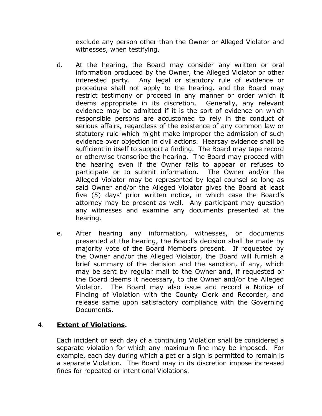exclude any person other than the Owner or Alleged Violator and witnesses, when testifying.

- d. At the hearing, the Board may consider any written or oral information produced by the Owner, the Alleged Violator or other interested party. Any legal or statutory rule of evidence or procedure shall not apply to the hearing, and the Board may restrict testimony or proceed in any manner or order which it deems appropriate in its discretion. Generally, any relevant evidence may be admitted if it is the sort of evidence on which responsible persons are accustomed to rely in the conduct of serious affairs, regardless of the existence of any common law or statutory rule which might make improper the admission of such evidence over objection in civil actions. Hearsay evidence shall be sufficient in itself to support a finding. The Board may tape record or otherwise transcribe the hearing. The Board may proceed with the hearing even if the Owner fails to appear or refuses to participate or to submit information. The Owner and/or the Alleged Violator may be represented by legal counsel so long as said Owner and/or the Alleged Violator gives the Board at least five (5) days' prior written notice, in which case the Board's attorney may be present as well. Any participant may question any witnesses and examine any documents presented at the hearing.
- e. After hearing any information, witnesses, or documents presented at the hearing, the Board's decision shall be made by majority vote of the Board Members present. If requested by the Owner and/or the Alleged Violator, the Board will furnish a brief summary of the decision and the sanction, if any, which may be sent by regular mail to the Owner and, if requested or the Board deems it necessary, to the Owner and/or the Alleged Violator. The Board may also issue and record a Notice of Finding of Violation with the County Clerk and Recorder, and release same upon satisfactory compliance with the Governing Documents.

# 4. **Extent of Violations.**

Each incident or each day of a continuing Violation shall be considered a separate violation for which any maximum fine may be imposed. For example, each day during which a pet or a sign is permitted to remain is a separate Violation. The Board may in its discretion impose increased fines for repeated or intentional Violations.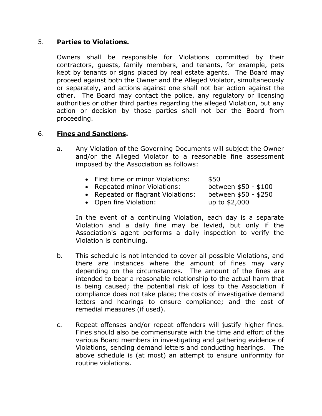#### 5. **Parties to Violations.**

Owners shall be responsible for Violations committed by their contractors, guests, family members, and tenants, for example, pets kept by tenants or signs placed by real estate agents. The Board may proceed against both the Owner and the Alleged Violator, simultaneously or separately, and actions against one shall not bar action against the other. The Board may contact the police, any regulatory or licensing authorities or other third parties regarding the alleged Violation, but any action or decision by those parties shall not bar the Board from proceeding.

#### 6. **Fines and Sanctions.**

- a. Any Violation of the Governing Documents will subject the Owner and/or the Alleged Violator to a reasonable fine assessment imposed by the Association as follows:
	- First time or minor Violations: \$50
	- Repeated minor Violations: between \$50 \$100
	- Repeated or flagrant Violations: between \$50 \$250
	- Open fire Violation: up to \$2,000
- 

In the event of a continuing Violation, each day is a separate Violation and a daily fine may be levied, but only if the Association's agent performs a daily inspection to verify the Violation is continuing.

- b. This schedule is not intended to cover all possible Violations, and there are instances where the amount of fines may vary depending on the circumstances. The amount of the fines are intended to bear a reasonable relationship to the actual harm that is being caused; the potential risk of loss to the Association if compliance does not take place; the costs of investigative demand letters and hearings to ensure compliance; and the cost of remedial measures (if used).
- c. Repeat offenses and/or repeat offenders will justify higher fines. Fines should also be commensurate with the time and effort of the various Board members in investigating and gathering evidence of Violations, sending demand letters and conducting hearings. The above schedule is (at most) an attempt to ensure uniformity for routine violations.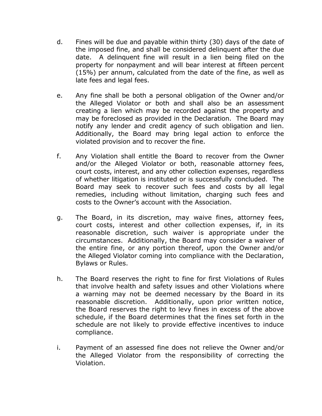- d. Fines will be due and payable within thirty (30) days of the date of the imposed fine, and shall be considered delinquent after the due date. A delinquent fine will result in a lien being filed on the property for nonpayment and will bear interest at fifteen percent (15%) per annum, calculated from the date of the fine, as well as late fees and legal fees.
- e. Any fine shall be both a personal obligation of the Owner and/or the Alleged Violator or both and shall also be an assessment creating a lien which may be recorded against the property and may be foreclosed as provided in the Declaration. The Board may notify any lender and credit agency of such obligation and lien. Additionally, the Board may bring legal action to enforce the violated provision and to recover the fine.
- f. Any Violation shall entitle the Board to recover from the Owner and/or the Alleged Violator or both, reasonable attorney fees, court costs, interest, and any other collection expenses, regardless of whether litigation is instituted or is successfully concluded. The Board may seek to recover such fees and costs by all legal remedies, including without limitation, charging such fees and costs to the Owner's account with the Association.
- g. The Board, in its discretion, may waive fines, attorney fees, court costs, interest and other collection expenses, if, in its reasonable discretion, such waiver is appropriate under the circumstances. Additionally, the Board may consider a waiver of the entire fine, or any portion thereof, upon the Owner and/or the Alleged Violator coming into compliance with the Declaration, Bylaws or Rules.
- h. The Board reserves the right to fine for first Violations of Rules that involve health and safety issues and other Violations where a warning may not be deemed necessary by the Board in its reasonable discretion. Additionally, upon prior written notice, the Board reserves the right to levy fines in excess of the above schedule, if the Board determines that the fines set forth in the schedule are not likely to provide effective incentives to induce compliance.
- i. Payment of an assessed fine does not relieve the Owner and/or the Alleged Violator from the responsibility of correcting the Violation.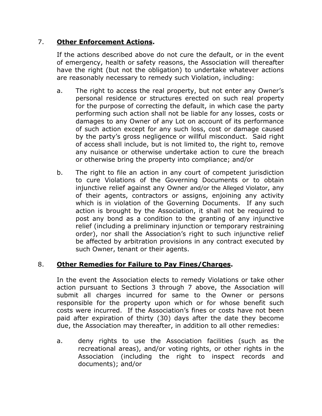# 7. **Other Enforcement Actions.**

If the actions described above do not cure the default, or in the event of emergency, health or safety reasons, the Association will thereafter have the right (but not the obligation) to undertake whatever actions are reasonably necessary to remedy such Violation, including:

- a. The right to access the real property, but not enter any Owner's personal residence or structures erected on such real property for the purpose of correcting the default, in which case the party performing such action shall not be liable for any losses, costs or damages to any Owner of any Lot on account of its performance of such action except for any such loss, cost or damage caused by the party's gross negligence or willful misconduct. Said right of access shall include, but is not limited to, the right to, remove any nuisance or otherwise undertake action to cure the breach or otherwise bring the property into compliance; and/or
- b. The right to file an action in any court of competent jurisdiction to cure Violations of the Governing Documents or to obtain injunctive relief against any Owner and/or the Alleged Violator, any of their agents, contractors or assigns, enjoining any activity which is in violation of the Governing Documents. If any such action is brought by the Association, it shall not be required to post any bond as a condition to the granting of any injunctive relief (including a preliminary injunction or temporary restraining order), nor shall the Association's right to such injunctive relief be affected by arbitration provisions in any contract executed by such Owner, tenant or their agents.

# 8. **Other Remedies for Failure to Pay Fines/Charges.**

In the event the Association elects to remedy Violations or take other action pursuant to Sections 3 through 7 above, the Association will submit all charges incurred for same to the Owner or persons responsible for the property upon which or for whose benefit such costs were incurred. If the Association's fines or costs have not been paid after expiration of thirty (30) days after the date they become due, the Association may thereafter, in addition to all other remedies:

a. deny rights to use the Association facilities (such as the recreational areas), and/or voting rights, or other rights in the Association (including the right to inspect records and documents); and/or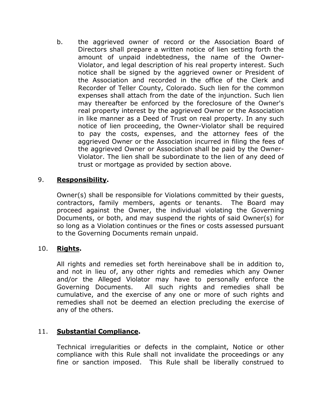b. the aggrieved owner of record or the Association Board of Directors shall prepare a written notice of lien setting forth the amount of unpaid indebtedness, the name of the Owner-Violator, and legal description of his real property interest. Such notice shall be signed by the aggrieved owner or President of the Association and recorded in the office of the Clerk and Recorder of Teller County, Colorado. Such lien for the common expenses shall attach from the date of the injunction. Such lien may thereafter be enforced by the foreclosure of the Owner's real property interest by the aggrieved Owner or the Association in like manner as a Deed of Trust on real property. In any such notice of lien proceeding, the Owner-Violator shall be required to pay the costs, expenses, and the attorney fees of the aggrieved Owner or the Association incurred in filing the fees of the aggrieved Owner or Association shall be paid by the Owner-Violator. The lien shall be subordinate to the lien of any deed of trust or mortgage as provided by section above.

# 9. **Responsibility.**

Owner(s) shall be responsible for Violations committed by their guests, contractors, family members, agents or tenants. The Board may proceed against the Owner, the individual violating the Governing Documents, or both, and may suspend the rights of said Owner(s) for so long as a Violation continues or the fines or costs assessed pursuant to the Governing Documents remain unpaid.

# 10. **Rights.**

All rights and remedies set forth hereinabove shall be in addition to, and not in lieu of, any other rights and remedies which any Owner and/or the Alleged Violator may have to personally enforce the Governing Documents. All such rights and remedies shall be cumulative, and the exercise of any one or more of such rights and remedies shall not be deemed an election precluding the exercise of any of the others.

# 11. **Substantial Compliance.**

Technical irregularities or defects in the complaint, Notice or other compliance with this Rule shall not invalidate the proceedings or any fine or sanction imposed. This Rule shall be liberally construed to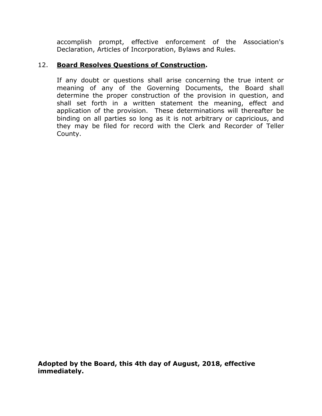accomplish prompt, effective enforcement of the Association's Declaration, Articles of Incorporation, Bylaws and Rules.

# 12. **Board Resolves Questions of Construction.**

If any doubt or questions shall arise concerning the true intent or meaning of any of the Governing Documents, the Board shall determine the proper construction of the provision in question, and shall set forth in a written statement the meaning, effect and application of the provision. These determinations will thereafter be binding on all parties so long as it is not arbitrary or capricious, and they may be filed for record with the Clerk and Recorder of Teller County.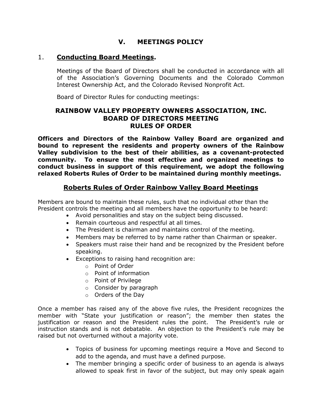#### **V. MEETINGS POLICY**

#### 1. **Conducting Board Meetings.**

Meetings of the Board of Directors shall be conducted in accordance with all of the Association's Governing Documents and the Colorado Common Interest Ownership Act, and the Colorado Revised Nonprofit Act.

Board of Director Rules for conducting meetings:

#### **RAINBOW VALLEY PROPERTY OWNERS ASSOCIATION, INC. BOARD OF DIRECTORS MEETING RULES OF ORDER**

**Officers and Directors of the Rainbow Valley Board are organized and bound to represent the residents and property owners of the Rainbow Valley subdivision to the best of their abilities, as a covenant-protected community. To ensure the most effective and organized meetings to conduct business in support of this requirement, we adopt the following relaxed Roberts Rules of Order to be maintained during monthly meetings.**

#### **Roberts Rules of Order Rainbow Valley Board Meetings**

Members are bound to maintain these rules, such that no individual other than the President controls the meeting and all members have the opportunity to be heard:

- Avoid personalities and stay on the subject being discussed.
- Remain courteous and respectful at all times.
- The President is chairman and maintains control of the meeting.
- Members may be referred to by name rather than Chairman or speaker.
- Speakers must raise their hand and be recognized by the President before speaking.
- Exceptions to raising hand recognition are:
	- o Point of Order
	- o Point of information
	- o Point of Privilege
	- o Consider by paragraph
	- o Orders of the Day

Once a member has raised any of the above five rules, the President recognizes the member with "State your justification or reason"; the member then states the justification or reason and the President rules the point. The President's rule or instruction stands and is not debatable. An objection to the President's rule may be raised but not overturned without a majority vote.

- Topics of business for upcoming meetings require a Move and Second to add to the agenda, and must have a defined purpose.
- The member bringing a specific order of business to an agenda is always allowed to speak first in favor of the subject, but may only speak again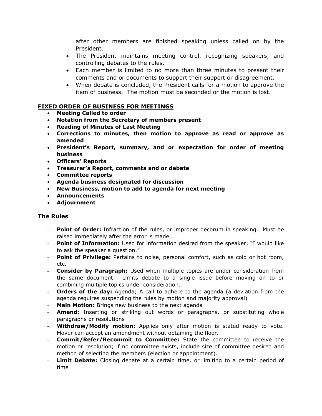after other members are finished speaking unless called on by the President.

- The President maintains meeting control, recognizing speakers, and controlling debates to the rules.
- Each member is limited to no more than three minutes to present their comments and or documents to support their support or disagreement.
- When debate is concluded, the President calls for a motion to approve the item of business. The motion must be seconded or the motion is lost.

#### **FIXED ORDER OF BUSINESS FOR MEETINGS**

- **Meeting Called to order**
- **Notation from the Secretary of members present**
- **Reading of Minutes of Last Meeting**
- **Corrections to minutes, then motion to approve as read or approve as amended**
- **President's Report, summary, and or expectation for order of meeting business**
- **Officers' Reports**
- **Treasurer's Report, comments and or debate**
- **Committee reports**
- **Agenda business designated for discussion**
- **New Business, motion to add to agenda for next meeting**
- **Announcements**
- **Adjournment**

#### **The Rules**

- **- Point of Order:** Infraction of the rules, or improper decorum in speaking. Must be raised immediately after the error is made.
- **- Point of Information:** Used for information desired from the speaker; "I would like to ask the speaker a question."
- **- Point of Privilege:** Pertains to noise, personal comfort, such as cold or hot room, etc.
- **- Consider by Paragraph:** Used when multiple topics are under consideration from the same document. Limits debate to a single issue before moving on to or combining multiple topics under consideration.
- **- Orders of the day:** Agenda; A call to adhere to the agenda (a deviation from the agenda requires suspending the rules by motion and majority approval)
- **Main Motion:** Brings new business to the next agenda
- **- Amend:** Inserting or striking out words or paragraphs, or substituting whole paragraphs or resolutions
- **- Withdraw/Modify motion:** Applies only after motion is stated ready to vote. Mover can accept an amendment without obtaining the floor.
- **- Commit/Refer/Recommit to Committee:** State the committee to receive the motion or resolution; if no committee exists, include size of committee desired and method of selecting the members (election or appointment).
- **Limit Debate:** Closing debate at a certain time, or limiting to a certain period of time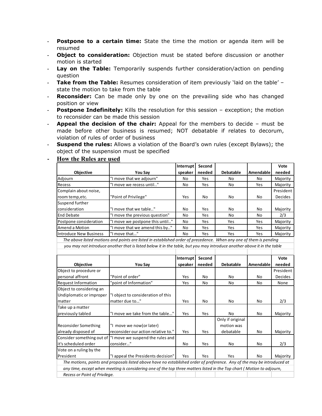- **- Postpone to a certain time:** State the time the motion or agenda item will be resumed
- **- Object to consideration:** Objection must be stated before discussion or another motion is started
- **- Lay on the Table:** Temporarily suspends further consideration/action on pending question
- **Take from the Table:** Resumes consideration of item previously 'laid on the table' state the motion to take from the table
- **- Reconsider:** Can be made only by one on the prevailing side who has changed position or view
- **Postpone Indefinitely:** Kills the resolution for this session exception; the motion to reconsider can be made this session
- **- Appeal the decision of the chair:** Appeal for the members to decide must be made before other business is resumed; NOT debatable if relates to decorum, violation of rules of order of business
- **- Suspend the rules:** Allows a violation of the Board's own rules (except Bylaws); the object of the suspension must be specified

|                               |                                 | Interrupt | Second |                  |           | Vote           |
|-------------------------------|---------------------------------|-----------|--------|------------------|-----------|----------------|
| <b>Objective</b>              | You Say                         | speaker   | needed | <b>Debatable</b> | Amendable | needed         |
| Adjourn                       | "I move that we adjourn"        | No        | Yes    | No               | No        | Majority       |
| Recess                        | "I move we recess until"        | No        | Yes    | No               | Yes       | Majority       |
| Complain about noise,         |                                 |           |        |                  |           | President      |
| room temp, etc.               | "Point of Privilege"            | Yes       | No     | No               | No        | <b>Decides</b> |
| Suspend further               |                                 |           |        |                  |           |                |
| consideration                 | "I move that we table"          | No        | Yes    | No.              | No        | Majority       |
| <b>End Debate</b>             | "I move the previous question"  | No        | Yes    | No               | No        | 2/3            |
| Postpone consideration        | "I move we postpone this until" | No        | Yes    | Yes              | Yes       | Majority       |
| Amend a Motion                | "I move that we amend this by"  | No        | Yes    | Yes              | Yes       | Majority       |
| <b>Introduce New Business</b> | "I move that"                   | No        | Yes    | Yes              | Yes       | Majority       |

#### **- How the Rules are used**

 *The above listed motions and points are listed in established order of precedence. When any one of them is pending you may not introduce another that is listed below it in the table, but you may introduce another above it in the table*

|                                                                                                                         |                                                             | Interrupt | Second |                  |           | Vote           |  |
|-------------------------------------------------------------------------------------------------------------------------|-------------------------------------------------------------|-----------|--------|------------------|-----------|----------------|--|
| <b>Objective</b>                                                                                                        | You Say                                                     | speaker   | needed | <b>Debatable</b> | Amendable | needed         |  |
| Object to procedure or                                                                                                  |                                                             |           |        |                  |           | President      |  |
| personal affront                                                                                                        | "Point of order"                                            | Yes       | No.    | No               | No        | <b>Decides</b> |  |
| <b>Request Information</b>                                                                                              | "point of Information"                                      | Yes       | No.    | No               | No        | None           |  |
| Object to considering an                                                                                                |                                                             |           |        |                  |           |                |  |
| Undiplomatic or improper                                                                                                | "I object to consideration of this                          |           |        |                  |           |                |  |
| matter                                                                                                                  | matter due to"                                              | Yes       | No.    | No               | No        | 2/3            |  |
| Take up a matter                                                                                                        |                                                             |           |        |                  |           |                |  |
| previously tabled                                                                                                       | "I move we take from the table"                             | Yes       | Yes    | No               | No        | Majority       |  |
|                                                                                                                         |                                                             |           |        | Only if original |           |                |  |
| Reconsider Something                                                                                                    | "I move we now(or later)                                    |           |        | motion was       |           |                |  |
| already disposed of                                                                                                     | reconsider our action relative to."                         | Yes       | Yes    | debatable        | No        | Majority       |  |
|                                                                                                                         | Consider something out of  "I move we suspend the rules and |           |        |                  |           |                |  |
| it's scheduled order                                                                                                    | consider"                                                   | No        | Yes    | No               | No        | 2/3            |  |
| Vote on a ruling by the                                                                                                 |                                                             |           |        |                  |           |                |  |
| President                                                                                                               | "I appeal the Presidents decision"                          | Yes       | Yes    | Yes              | No        | Majority       |  |
| The motions, points and proposals listed above have no established order of preference. Any of the may be introduced at |                                                             |           |        |                  |           |                |  |
| any time, except when meeting is considering one of the top three matters listed in the Top chart (Motion to adjourn,   |                                                             |           |        |                  |           |                |  |
| Recess or Point of Privilege.                                                                                           |                                                             |           |        |                  |           |                |  |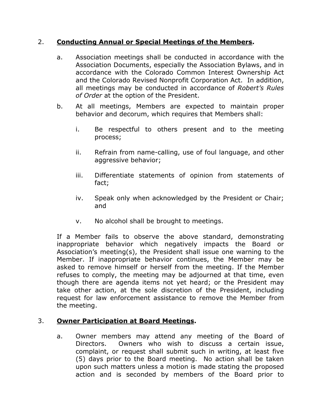#### 2. **Conducting Annual or Special Meetings of the Members.**

- a. Association meetings shall be conducted in accordance with the Association Documents, especially the Association Bylaws, and in accordance with the Colorado Common Interest Ownership Act and the Colorado Revised Nonprofit Corporation Act. In addition, all meetings may be conducted in accordance of *Robert's Rules of Order* at the option of the President.
- b. At all meetings, Members are expected to maintain proper behavior and decorum, which requires that Members shall:
	- i. Be respectful to others present and to the meeting process;
	- ii. Refrain from name-calling, use of foul language, and other aggressive behavior;
	- iii. Differentiate statements of opinion from statements of fact;
	- iv. Speak only when acknowledged by the President or Chair; and
	- v. No alcohol shall be brought to meetings.

If a Member fails to observe the above standard, demonstrating inappropriate behavior which negatively impacts the Board or Association's meeting(s), the President shall issue one warning to the Member. If inappropriate behavior continues, the Member may be asked to remove himself or herself from the meeting. If the Member refuses to comply, the meeting may be adjourned at that time, even though there are agenda items not yet heard; or the President may take other action, at the sole discretion of the President, including request for law enforcement assistance to remove the Member from the meeting.

# 3. **Owner Participation at Board Meetings.**

a. Owner members may attend any meeting of the Board of Directors. Owners who wish to discuss a certain issue, complaint, or request shall submit such in writing, at least five (5) days prior to the Board meeting. No action shall be taken upon such matters unless a motion is made stating the proposed action and is seconded by members of the Board prior to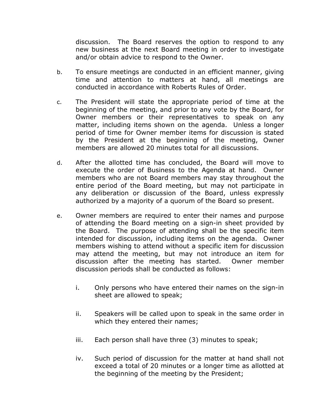discussion. The Board reserves the option to respond to any new business at the next Board meeting in order to investigate and/or obtain advice to respond to the Owner.

- b. To ensure meetings are conducted in an efficient manner, giving time and attention to matters at hand, all meetings are conducted in accordance with Roberts Rules of Order.
- c. The President will state the appropriate period of time at the beginning of the meeting, and prior to any vote by the Board, for Owner members or their representatives to speak on any matter, including items shown on the agenda. Unless a longer period of time for Owner member items for discussion is stated by the President at the beginning of the meeting, Owner members are allowed 20 minutes total for all discussions.
- d. After the allotted time has concluded, the Board will move to execute the order of Business to the Agenda at hand. Owner members who are not Board members may stay throughout the entire period of the Board meeting, but may not participate in any deliberation or discussion of the Board, unless expressly authorized by a majority of a quorum of the Board so present.
- e. Owner members are required to enter their names and purpose of attending the Board meeting on a sign-in sheet provided by the Board. The purpose of attending shall be the specific item intended for discussion, including items on the agenda. Owner members wishing to attend without a specific item for discussion may attend the meeting, but may not introduce an item for discussion after the meeting has started. Owner member discussion periods shall be conducted as follows:
	- i. Only persons who have entered their names on the sign-in sheet are allowed to speak;
	- ii. Speakers will be called upon to speak in the same order in which they entered their names;
	- iii. Each person shall have three (3) minutes to speak;
	- iv. Such period of discussion for the matter at hand shall not exceed a total of 20 minutes or a longer time as allotted at the beginning of the meeting by the President;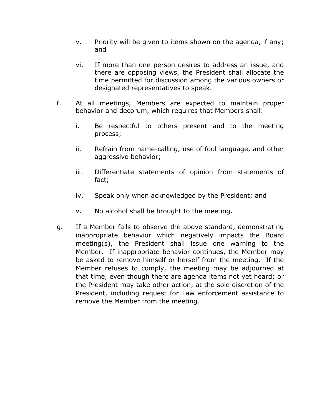- v. Priority will be given to items shown on the agenda, if any; and
- vi. If more than one person desires to address an issue, and there are opposing views, the President shall allocate the time permitted for discussion among the various owners or designated representatives to speak.
- f. At all meetings, Members are expected to maintain proper behavior and decorum, which requires that Members shall:
	- i. Be respectful to others present and to the meeting process;
	- ii. Refrain from name-calling, use of foul language, and other aggressive behavior;
	- iii. Differentiate statements of opinion from statements of fact;
	- iv. Speak only when acknowledged by the President; and
	- v. No alcohol shall be brought to the meeting.
- g. If a Member fails to observe the above standard, demonstrating inappropriate behavior which negatively impacts the Board meeting(s), the President shall issue one warning to the Member. If inappropriate behavior continues, the Member may be asked to remove himself or herself from the meeting. If the Member refuses to comply, the meeting may be adjourned at that time, even though there are agenda items not yet heard; or the President may take other action, at the sole discretion of the President, including request for Law enforcement assistance to remove the Member from the meeting.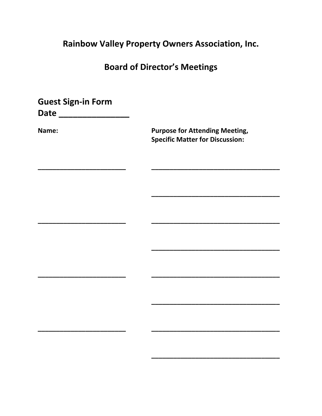# Rainbow Valley Property Owners Association, Inc.

# **Board of Director's Meetings**

**Guest Sign-in Form** 

Date \_\_\_\_\_\_\_\_\_\_\_\_\_\_\_\_\_\_\_

Name:

**Purpose for Attending Meeting, Specific Matter for Discussion:**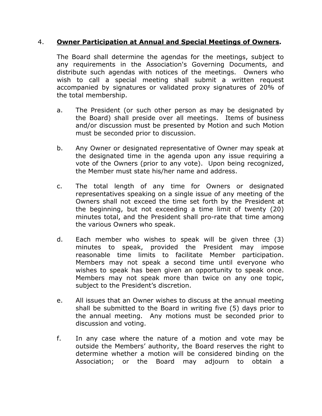#### 4. **Owner Participation at Annual and Special Meetings of Owners.**

The Board shall determine the agendas for the meetings, subject to any requirements in the Association's Governing Documents, and distribute such agendas with notices of the meetings. Owners who wish to call a special meeting shall submit a written request accompanied by signatures or validated proxy signatures of 20% of the total membership.

- a. The President (or such other person as may be designated by the Board) shall preside over all meetings. Items of business and/or discussion must be presented by Motion and such Motion must be seconded prior to discussion.
- b. Any Owner or designated representative of Owner may speak at the designated time in the agenda upon any issue requiring a vote of the Owners (prior to any vote). Upon being recognized, the Member must state his/her name and address.
- c. The total length of any time for Owners or designated representatives speaking on a single issue of any meeting of the Owners shall not exceed the time set forth by the President at the beginning, but not exceeding a time limit of twenty (20) minutes total, and the President shall pro-rate that time among the various Owners who speak.
- d. Each member who wishes to speak will be given three (3) minutes to speak, provided the President may impose reasonable time limits to facilitate Member participation. Members may not speak a second time until everyone who wishes to speak has been given an opportunity to speak once. Members may not speak more than twice on any one topic, subject to the President's discretion.
- e. All issues that an Owner wishes to discuss at the annual meeting shall be submitted to the Board in writing five (5) days prior to the annual meeting. Any motions must be seconded prior to discussion and voting.
- f. In any case where the nature of a motion and vote may be outside the Members' authority, the Board reserves the right to determine whether a motion will be considered binding on the Association; or the Board may adjourn to obtain a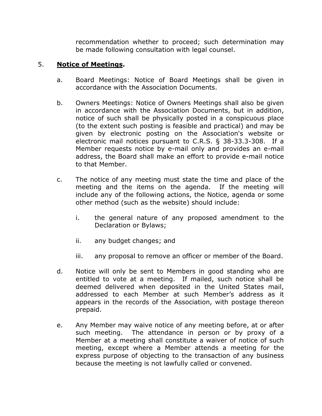recommendation whether to proceed; such determination may be made following consultation with legal counsel.

# 5. **Notice of Meetings.**

- a. Board Meetings: Notice of Board Meetings shall be given in accordance with the Association Documents.
- b. Owners Meetings: Notice of Owners Meetings shall also be given in accordance with the Association Documents, but in addition, notice of such shall be physically posted in a conspicuous place (to the extent such posting is feasible and practical) and may be given by electronic posting on the Association's website or electronic mail notices pursuant to C.R.S. § 38-33.3-308. If a Member requests notice by e-mail only and provides an e-mail address, the Board shall make an effort to provide e-mail notice to that Member.
- c. The notice of any meeting must state the time and place of the meeting and the items on the agenda. If the meeting will include any of the following actions, the Notice, agenda or some other method (such as the website) should include:
	- i. the general nature of any proposed amendment to the Declaration or Bylaws;
	- ii. any budget changes; and
	- iii. any proposal to remove an officer or member of the Board.
- d. Notice will only be sent to Members in good standing who are entitled to vote at a meeting. If mailed, such notice shall be deemed delivered when deposited in the United States mail, addressed to each Member at such Member's address as it appears in the records of the Association, with postage thereon prepaid.
- e. Any Member may waive notice of any meeting before, at or after such meeting. The attendance in person or by proxy of a Member at a meeting shall constitute a waiver of notice of such meeting, except where a Member attends a meeting for the express purpose of objecting to the transaction of any business because the meeting is not lawfully called or convened.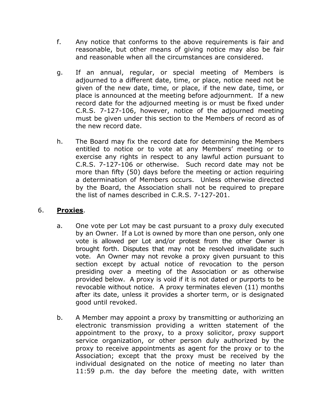- f. Any notice that conforms to the above requirements is fair and reasonable, but other means of giving notice may also be fair and reasonable when all the circumstances are considered.
- g. If an annual, regular, or special meeting of Members is adjourned to a different date, time, or place, notice need not be given of the new date, time, or place, if the new date, time, or place is announced at the meeting before adjournment. If a new record date for the adjourned meeting is or must be fixed under C.R.S. 7-127-106, however, notice of the adjourned meeting must be given under this section to the Members of record as of the new record date.
- h. The Board may fix the record date for determining the Members entitled to notice or to vote at any Members' meeting or to exercise any rights in respect to any lawful action pursuant to C.R.S. 7-127-106 or otherwise. Such record date may not be more than fifty (50) days before the meeting or action requiring a determination of Members occurs. Unless otherwise directed by the Board, the Association shall not be required to prepare the list of names described in C.R.S. 7-127-201.

#### 6. **Proxies**.

- a. One vote per Lot may be cast pursuant to a proxy duly executed by an Owner. If a Lot is owned by more than one person, only one vote is allowed per Lot and/or protest from the other Owner is brought forth. Disputes that may not be resolved invalidate such vote. An Owner may not revoke a proxy given pursuant to this section except by actual notice of revocation to the person presiding over a meeting of the Association or as otherwise provided below. A proxy is void if it is not dated or purports to be revocable without notice. A proxy terminates eleven (11) months after its date, unless it provides a shorter term, or is designated good until revoked.
- b. A Member may appoint a proxy by transmitting or authorizing an electronic transmission providing a written statement of the appointment to the proxy, to a proxy solicitor, proxy support service organization, or other person duly authorized by the proxy to receive appointments as agent for the proxy or to the Association; except that the proxy must be received by the individual designated on the notice of meeting no later than 11:59 p.m. the day before the meeting date, with written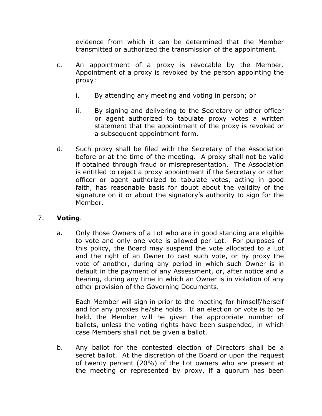evidence from which it can be determined that the Member transmitted or authorized the transmission of the appointment.

- c. An appointment of a proxy is revocable by the Member. Appointment of a proxy is revoked by the person appointing the proxy:
	- i. By attending any meeting and voting in person; or
	- ii. By signing and delivering to the Secretary or other officer or agent authorized to tabulate proxy votes a written statement that the appointment of the proxy is revoked or a subsequent appointment form.
- d. Such proxy shall be filed with the Secretary of the Association before or at the time of the meeting. A proxy shall not be valid if obtained through fraud or misrepresentation. The Association is entitled to reject a proxy appointment if the Secretary or other officer or agent authorized to tabulate votes, acting in good faith, has reasonable basis for doubt about the validity of the signature on it or about the signatory's authority to sign for the Member.

# 7. **Voting**.

a. Only those Owners of a Lot who are in good standing are eligible to vote and only one vote is allowed per Lot. For purposes of this policy, the Board may suspend the vote allocated to a Lot and the right of an Owner to cast such vote, or by proxy the vote of another, during any period in which such Owner is in default in the payment of any Assessment, or, after notice and a hearing, during any time in which an Owner is in violation of any other provision of the Governing Documents.

Each Member will sign in prior to the meeting for himself/herself and for any proxies he/she holds. If an election or vote is to be held, the Member will be given the appropriate number of ballots, unless the voting rights have been suspended, in which case Members shall not be given a ballot.

b. Any ballot for the contested election of Directors shall be a secret ballot. At the discretion of the Board or upon the request of twenty percent (20%) of the Lot owners who are present at the meeting or represented by proxy, if a quorum has been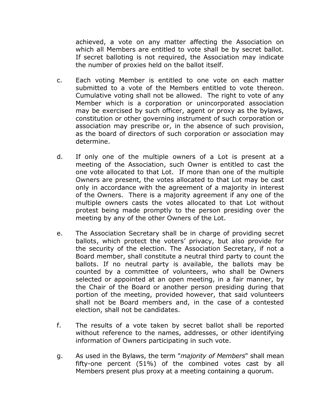achieved, a vote on any matter affecting the Association on which all Members are entitled to vote shall be by secret ballot. If secret balloting is not required, the Association may indicate the number of proxies held on the ballot itself.

- c. Each voting Member is entitled to one vote on each matter submitted to a vote of the Members entitled to vote thereon. Cumulative voting shall not be allowed. The right to vote of any Member which is a corporation or unincorporated association may be exercised by such officer, agent or proxy as the bylaws, constitution or other governing instrument of such corporation or association may prescribe or, in the absence of such provision, as the board of directors of such corporation or association may determine.
- d. If only one of the multiple owners of a Lot is present at a meeting of the Association, such Owner is entitled to cast the one vote allocated to that Lot. If more than one of the multiple Owners are present, the votes allocated to that Lot may be cast only in accordance with the agreement of a majority in interest of the Owners. There is a majority agreement if any one of the multiple owners casts the votes allocated to that Lot without protest being made promptly to the person presiding over the meeting by any of the other Owners of the Lot.
- e. The Association Secretary shall be in charge of providing secret ballots, which protect the voters' privacy, but also provide for the security of the election. The Association Secretary, if not a Board member, shall constitute a neutral third party to count the ballots. If no neutral party is available, the ballots may be counted by a committee of volunteers, who shall be Owners selected or appointed at an open meeting, in a fair manner, by the Chair of the Board or another person presiding during that portion of the meeting, provided however, that said volunteers shall not be Board members and, in the case of a contested election, shall not be candidates.
- f. The results of a vote taken by secret ballot shall be reported without reference to the names, addresses, or other identifying information of Owners participating in such vote.
- g. As used in the Bylaws, the term "*majority of Members*" shall mean fifty-one percent (51%) of the combined votes cast by all Members present plus proxy at a meeting containing a quorum.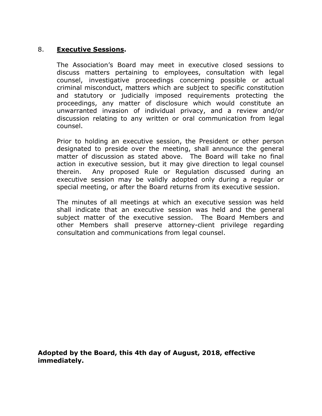#### 8. **Executive Sessions.**

The Association's Board may meet in executive closed sessions to discuss matters pertaining to employees, consultation with legal counsel, investigative proceedings concerning possible or actual criminal misconduct, matters which are subject to specific constitution and statutory or judicially imposed requirements protecting the proceedings, any matter of disclosure which would constitute an unwarranted invasion of individual privacy, and a review and/or discussion relating to any written or oral communication from legal counsel.

Prior to holding an executive session, the President or other person designated to preside over the meeting, shall announce the general matter of discussion as stated above. The Board will take no final action in executive session, but it may give direction to legal counsel therein. Any proposed Rule or Regulation discussed during an executive session may be validly adopted only during a regular or special meeting, or after the Board returns from its executive session.

The minutes of all meetings at which an executive session was held shall indicate that an executive session was held and the general subject matter of the executive session. The Board Members and other Members shall preserve attorney-client privilege regarding consultation and communications from legal counsel.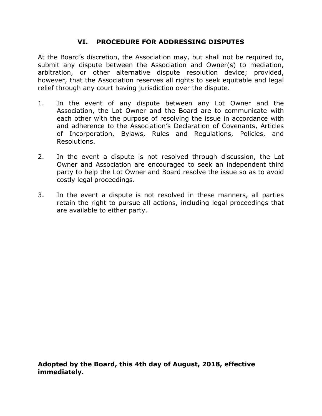# **VI. PROCEDURE FOR ADDRESSING DISPUTES**

At the Board's discretion, the Association may, but shall not be required to, submit any dispute between the Association and Owner(s) to mediation, arbitration, or other alternative dispute resolution device; provided, however, that the Association reserves all rights to seek equitable and legal relief through any court having jurisdiction over the dispute.

- 1. In the event of any dispute between any Lot Owner and the Association, the Lot Owner and the Board are to communicate with each other with the purpose of resolving the issue in accordance with and adherence to the Association's Declaration of Covenants, Articles of Incorporation, Bylaws, Rules and Regulations, Policies, and Resolutions.
- 2. In the event a dispute is not resolved through discussion, the Lot Owner and Association are encouraged to seek an independent third party to help the Lot Owner and Board resolve the issue so as to avoid costly legal proceedings.
- 3. In the event a dispute is not resolved in these manners, all parties retain the right to pursue all actions, including legal proceedings that are available to either party.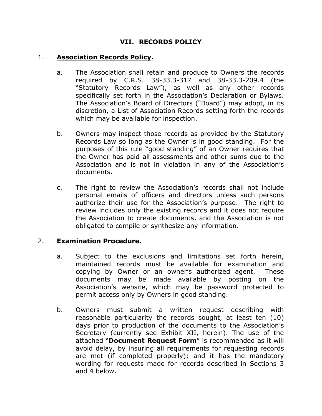# **VII. RECORDS POLICY**

#### 1. **Association Records Policy.**

- a. The Association shall retain and produce to Owners the records required by C.R.S. 38-33.3-317 and 38-33.3-209.4 (the "Statutory Records Law"), as well as any other records specifically set forth in the Association's Declaration or Bylaws. The Association's Board of Directors ("Board") may adopt, in its discretion, a List of Association Records setting forth the records which may be available for inspection.
- b. Owners may inspect those records as provided by the Statutory Records Law so long as the Owner is in good standing. For the purposes of this rule "good standing" of an Owner requires that the Owner has paid all assessments and other sums due to the Association and is not in violation in any of the Association's documents.
- c. The right to review the Association's records shall not include personal emails of officers and directors unless such persons authorize their use for the Association's purpose. The right to review includes only the existing records and it does not require the Association to create documents, and the Association is not obligated to compile or synthesize any information.

#### 2. **Examination Procedure.**

- a. Subject to the exclusions and limitations set forth herein, maintained records must be available for examination and copying by Owner or an owner's authorized agent. These documents may be made available by posting on the Association's website, which may be password protected to permit access only by Owners in good standing.
- b. Owners must submit a written request describing with reasonable particularity the records sought, at least ten (10) days prior to production of the documents to the Association's Secretary (currently see Exhibit XII, herein). The use of the attached "**Document Request Form**" is recommended as it will avoid delay, by insuring all requirements for requesting records are met (if completed properly); and it has the mandatory wording for requests made for records described in Sections 3 and 4 below.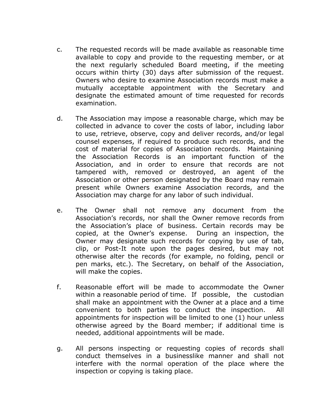- c. The requested records will be made available as reasonable time available to copy and provide to the requesting member, or at the next regularly scheduled Board meeting, if the meeting occurs within thirty (30) days after submission of the request. Owners who desire to examine Association records must make a mutually acceptable appointment with the Secretary and designate the estimated amount of time requested for records examination.
- d. The Association may impose a reasonable charge, which may be collected in advance to cover the costs of labor, including labor to use, retrieve, observe, copy and deliver records, and/or legal counsel expenses, if required to produce such records, and the cost of material for copies of Association records. Maintaining the Association Records is an important function of the Association, and in order to ensure that records are not tampered with, removed or destroyed, an agent of the Association or other person designated by the Board may remain present while Owners examine Association records, and the Association may charge for any labor of such individual.
- e. The Owner shall not remove any document from the Association's records, nor shall the Owner remove records from the Association's place of business. Certain records may be copied, at the Owner's expense. During an inspection, the Owner may designate such records for copying by use of tab, clip, or Post-It note upon the pages desired, but may not otherwise alter the records (for example, no folding, pencil or pen marks, etc.). The Secretary, on behalf of the Association, will make the copies.
- f. Reasonable effort will be made to accommodate the Owner within a reasonable period of time. If possible, the custodian shall make an appointment with the Owner at a place and a time convenient to both parties to conduct the inspection. All appointments for inspection will be limited to one (1) hour unless otherwise agreed by the Board member; if additional time is needed, additional appointments will be made.
- g. All persons inspecting or requesting copies of records shall conduct themselves in a businesslike manner and shall not interfere with the normal operation of the place where the inspection or copying is taking place.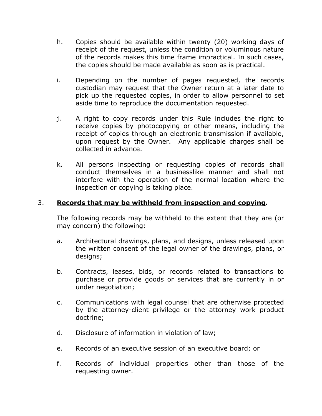- h. Copies should be available within twenty (20) working days of receipt of the request, unless the condition or voluminous nature of the records makes this time frame impractical. In such cases, the copies should be made available as soon as is practical.
- i. Depending on the number of pages requested, the records custodian may request that the Owner return at a later date to pick up the requested copies, in order to allow personnel to set aside time to reproduce the documentation requested.
- j. A right to copy records under this Rule includes the right to receive copies by photocopying or other means, including the receipt of copies through an electronic transmission if available, upon request by the Owner. Any applicable charges shall be collected in advance.
- k. All persons inspecting or requesting copies of records shall conduct themselves in a businesslike manner and shall not interfere with the operation of the normal location where the inspection or copying is taking place.

#### 3. **Records that may be withheld from inspection and copying.**

The following records may be withheld to the extent that they are (or may concern) the following:

- a. Architectural drawings, plans, and designs, unless released upon the written consent of the legal owner of the drawings, plans, or designs;
- b. Contracts, leases, bids, or records related to transactions to purchase or provide goods or services that are currently in or under negotiation;
- c. Communications with legal counsel that are otherwise protected by the attorney-client privilege or the attorney work product doctrine;
- d. Disclosure of information in violation of law;
- e. Records of an executive session of an executive board; or
- f. Records of individual properties other than those of the requesting owner.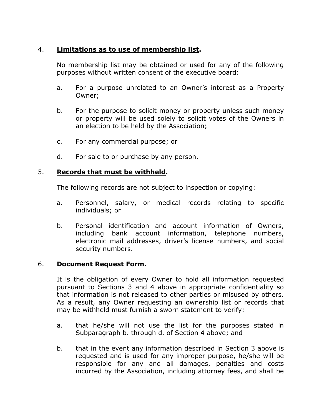# 4. **Limitations as to use of membership list.**

No membership list may be obtained or used for any of the following purposes without written consent of the executive board:

- a. For a purpose unrelated to an Owner's interest as a Property Owner;
- b. For the purpose to solicit money or property unless such money or property will be used solely to solicit votes of the Owners in an election to be held by the Association;
- c. For any commercial purpose; or
- d. For sale to or purchase by any person.

#### 5. **Records that must be withheld.**

The following records are not subject to inspection or copying:

- a. Personnel, salary, or medical records relating to specific individuals; or
- b. Personal identification and account information of Owners, including bank account information, telephone numbers, electronic mail addresses, driver's license numbers, and social security numbers.

# 6. **Document Request Form.**

It is the obligation of every Owner to hold all information requested pursuant to Sections 3 and 4 above in appropriate confidentiality so that information is not released to other parties or misused by others. As a result, any Owner requesting an ownership list or records that may be withheld must furnish a sworn statement to verify:

- a. that he/she will not use the list for the purposes stated in Subparagraph b. through d. of Section 4 above; and
- b. that in the event any information described in Section 3 above is requested and is used for any improper purpose, he/she will be responsible for any and all damages, penalties and costs incurred by the Association, including attorney fees, and shall be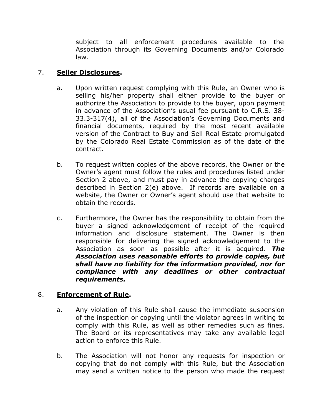subject to all enforcement procedures available to the Association through its Governing Documents and/or Colorado law.

# 7. **Seller Disclosures.**

- a. Upon written request complying with this Rule, an Owner who is selling his/her property shall either provide to the buyer or authorize the Association to provide to the buyer, upon payment in advance of the Association's usual fee pursuant to C.R.S. 38- 33.3-317(4), all of the Association's Governing Documents and financial documents, required by the most recent available version of the Contract to Buy and Sell Real Estate promulgated by the Colorado Real Estate Commission as of the date of the contract.
- b. To request written copies of the above records, the Owner or the Owner's agent must follow the rules and procedures listed under Section 2 above, and must pay in advance the copying charges described in Section 2(e) above. If records are available on a website, the Owner or Owner's agent should use that website to obtain the records.
- c. Furthermore, the Owner has the responsibility to obtain from the buyer a signed acknowledgement of receipt of the required information and disclosure statement. The Owner is then responsible for delivering the signed acknowledgement to the Association as soon as possible after it is acquired. *The Association uses reasonable efforts to provide copies, but shall have no liability for the information provided, nor for compliance with any deadlines or other contractual requirements.*

# 8. **Enforcement of Rule.**

- a. Any violation of this Rule shall cause the immediate suspension of the inspection or copying until the violator agrees in writing to comply with this Rule, as well as other remedies such as fines. The Board or its representatives may take any available legal action to enforce this Rule.
- b. The Association will not honor any requests for inspection or copying that do not comply with this Rule, but the Association may send a written notice to the person who made the request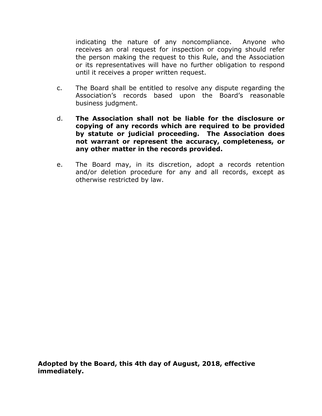indicating the nature of any noncompliance. Anyone who receives an oral request for inspection or copying should refer the person making the request to this Rule, and the Association or its representatives will have no further obligation to respond until it receives a proper written request.

- c. The Board shall be entitled to resolve any dispute regarding the Association's records based upon the Board's reasonable business judgment.
- d. **The Association shall not be liable for the disclosure or copying of any records which are required to be provided by statute or judicial proceeding. The Association does not warrant or represent the accuracy, completeness, or any other matter in the records provided.**
- e. The Board may, in its discretion, adopt a records retention and/or deletion procedure for any and all records, except as otherwise restricted by law.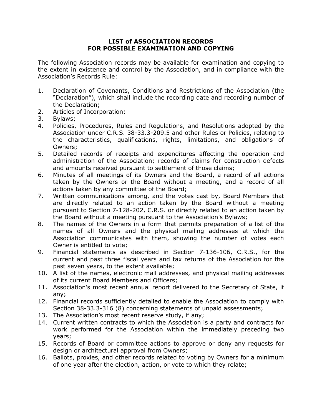#### **LIST of ASSOCIATION RECORDS FOR POSSIBLE EXAMINATION AND COPYING**

The following Association records may be available for examination and copying to the extent in existence and control by the Association, and in compliance with the Association's Records Rule:

- 1. Declaration of Covenants, Conditions and Restrictions of the Association (the "Declaration"), which shall include the recording date and recording number of the Declaration;
- 2. Articles of Incorporation;
- 3. Bylaws;
- 4. Policies, Procedures, Rules and Regulations, and Resolutions adopted by the Association under C.R.S. 38-33.3-209.5 and other Rules or Policies, relating to the characteristics, qualifications, rights, limitations, and obligations of Owners;
- 5. Detailed records of receipts and expenditures affecting the operation and administration of the Association; records of claims for construction defects and amounts received pursuant to settlement of those claims;
- 6. Minutes of all meetings of its Owners and the Board, a record of all actions taken by the Owners or the Board without a meeting, and a record of all actions taken by any committee of the Board;
- 7. Written communications among, and the votes cast by, Board Members that are directly related to an action taken by the Board without a meeting pursuant to Section 7-128-202, C.R.S. or directly related to an action taken by the Board without a meeting pursuant to the Association's Bylaws;
- 8. The names of the Owners in a form that permits preparation of a list of the names of all Owners and the physical mailing addresses at which the Association communicates with them, showing the number of votes each Owner is entitled to vote;
- 9. Financial statements as described in Section 7-136-106, C.R.S., for the current and past three fiscal years and tax returns of the Association for the past seven years, to the extent available;
- 10. A list of the names, electronic mail addresses, and physical mailing addresses of its current Board Members and Officers;
- 11. Association's most recent annual report delivered to the Secretary of State, if any;
- 12. Financial records sufficiently detailed to enable the Association to comply with Section 38-33.3-316 (8) concerning statements of unpaid assessments;
- 13. The Association's most recent reserve study, if any;
- 14. Current written contracts to which the Association is a party and contracts for work performed for the Association within the immediately preceding two years;
- 15. Records of Board or committee actions to approve or deny any requests for design or architectural approval from Owners;
- 16. Ballots, proxies, and other records related to voting by Owners for a minimum of one year after the election, action, or vote to which they relate;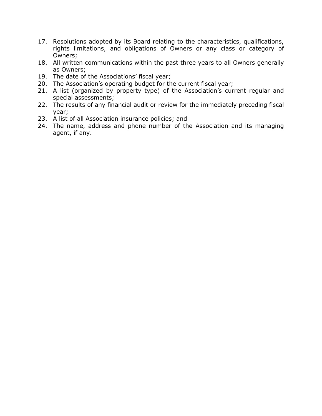- 17. Resolutions adopted by its Board relating to the characteristics, qualifications, rights limitations, and obligations of Owners or any class or category of Owners;
- 18. All written communications within the past three years to all Owners generally as Owners;
- 19. The date of the Associations' fiscal year;
- 20. The Association's operating budget for the current fiscal year;
- 21. A list (organized by property type) of the Association's current regular and special assessments;
- 22. The results of any financial audit or review for the immediately preceding fiscal year;
- 23. A list of all Association insurance policies; and
- 24. The name, address and phone number of the Association and its managing agent, if any.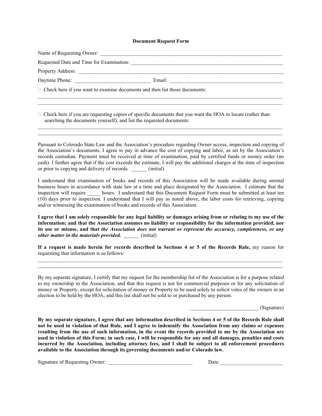#### **Document Request Form**

Name of Requesting Owner: Requested Date and Time for Examination: Property Address: Daytime Phone: Email:  $\Box$  $\Box$  Check here if you want to examine documents and then list those documents:  $\_$  ,  $\_$  ,  $\_$  ,  $\_$  ,  $\_$  ,  $\_$  ,  $\_$  ,  $\_$  ,  $\_$  ,  $\_$  ,  $\_$  ,  $\_$  ,  $\_$  ,  $\_$  ,  $\_$  ,  $\_$  ,  $\_$  ,  $\_$  ,  $\_$  ,  $\_$  ,  $\_$  ,  $\_$  ,  $\_$  ,  $\_$  ,  $\_$  ,  $\_$  ,  $\_$  ,  $\_$  ,  $\_$  ,  $\_$  ,  $\_$  ,  $\_$  ,  $\_$  ,  $\_$  ,  $\_$  ,  $\_$  ,  $\_$  ,

 $\_$  ,  $\_$  ,  $\_$  ,  $\_$  ,  $\_$  ,  $\_$  ,  $\_$  ,  $\_$  ,  $\_$  ,  $\_$  ,  $\_$  ,  $\_$  ,  $\_$  ,  $\_$  ,  $\_$  ,  $\_$  ,  $\_$  ,  $\_$  ,  $\_$  ,  $\_$  ,  $\_$  ,  $\_$  ,  $\_$  ,  $\_$  ,  $\_$  ,  $\_$  ,  $\_$  ,  $\_$  ,  $\_$  ,  $\_$  ,  $\_$  ,  $\_$  ,  $\_$  ,  $\_$  ,  $\_$  ,  $\_$  ,  $\_$  ,

 $\_$  ,  $\_$  ,  $\_$  ,  $\_$  ,  $\_$  ,  $\_$  ,  $\_$  ,  $\_$  ,  $\_$  ,  $\_$  ,  $\_$  ,  $\_$  ,  $\_$  ,  $\_$  ,  $\_$  ,  $\_$  ,  $\_$  ,  $\_$  ,  $\_$  ,  $\_$  ,  $\_$  ,  $\_$  ,  $\_$  ,  $\_$  ,  $\_$  ,  $\_$  ,  $\_$  ,  $\_$  ,  $\_$  ,  $\_$  ,  $\_$  ,  $\_$  ,  $\_$  ,  $\_$  ,  $\_$  ,  $\_$  ,  $\_$  ,  $\_$  ,  $\_$  ,  $\_$  ,  $\_$  ,  $\_$  ,  $\_$  ,  $\_$  ,  $\_$  ,  $\_$  ,  $\_$  ,  $\_$  ,  $\_$  ,  $\_$  ,  $\_$  ,  $\_$  ,  $\_$  ,  $\_$  ,  $\_$  ,  $\_$  ,  $\_$  ,  $\_$  ,  $\_$  ,  $\_$  ,  $\_$  ,  $\_$  ,  $\_$  ,  $\_$  ,  $\_$  ,  $\_$  ,  $\_$  ,  $\_$  ,  $\_$  ,  $\_$  ,  $\_$  ,  $\_$  ,  $\_$  ,  $\_$  ,

 $\Box$  Check here if you are requesting copies of specific documents that you want the HOA to locate (rather than searching the documents yourself); and list the requested documents:

Pursuant to Colorado State Law and the Association's procedure regarding Owner access, inspection and copying of the Association's documents, I agree to pay in advance the cost of copying and labor, as set by the Association's records custodian. Payment must be received at time of examination, paid by certified funds or money order (no cash). I further agree that if the cost exceeds the estimate, I will pay the additional charges at the time of inspection or prior to copying and delivery of records.  $\qquad \qquad (initial)$ 

I understand that examination of books and records of this Association will be made available during normal business hours in accordance with state law at a time and place designated by the Association. I estimate that the inspection will require \_\_\_\_\_ hours. I understand that this Document Request Form must be submitted at least ten (10) days prior to inspection. I understand that I will pay as noted above, the labor costs for retrieving, copying and/or witnessing the examination of books and records of this Association.

**I agree that I am solely responsible for any legal liability or damages arising from or relating to my use of the information; and that the Association assumes no liability or responsibility for the information provided, nor its use or misuse, and that** *the Association does not warrant or represent the accuracy, completeness, or any other matter in the materials provided.* (initial)

**If a request is made herein for records described in Sections 4 or 5 of the Records Rule,** my reason for requesting that information is as follows:  $\_$  ,  $\_$  ,  $\_$  ,  $\_$  ,  $\_$  ,  $\_$  ,  $\_$  ,  $\_$  ,  $\_$  ,  $\_$  ,  $\_$  ,  $\_$  ,  $\_$  ,  $\_$  ,  $\_$  ,  $\_$  ,  $\_$  ,  $\_$  ,  $\_$  ,  $\_$  ,  $\_$  ,  $\_$  ,  $\_$  ,  $\_$  ,  $\_$  ,  $\_$  ,  $\_$  ,  $\_$  ,  $\_$  ,  $\_$  ,  $\_$  ,  $\_$  ,  $\_$  ,  $\_$  ,  $\_$  ,  $\_$  ,  $\_$  ,

 $\mathcal{L}_\mathcal{L} = \{ \mathcal{L}_\mathcal{L} = \{ \mathcal{L}_\mathcal{L} = \{ \mathcal{L}_\mathcal{L} = \{ \mathcal{L}_\mathcal{L} = \{ \mathcal{L}_\mathcal{L} = \{ \mathcal{L}_\mathcal{L} = \{ \mathcal{L}_\mathcal{L} = \{ \mathcal{L}_\mathcal{L} = \{ \mathcal{L}_\mathcal{L} = \{ \mathcal{L}_\mathcal{L} = \{ \mathcal{L}_\mathcal{L} = \{ \mathcal{L}_\mathcal{L} = \{ \mathcal{L}_\mathcal{L} = \{ \mathcal{L}_\mathcal{$ 

By my separate signature, I certify that my request for the membership list of the Association is for a purpose related to my ownership in the Association, and that this request is not for commercial purposes or for any solicitation of money or Property, except for solicitation of money or Property to be used solely to solicit votes of the owners in an election to be held by the HOA; and this list shall not be sold to or purchased by any person.

 $\Box$  (Signature)

**By my separate signature, I agree that any information described in Sections 4 or 5 of the Records Rule shall not be used in violation of that Rule, and I agree to indemnify the Association from any claims or expenses resulting from the use of such information, in the event the records provided to me by the Association are used in violation of this Form; in such case, I will be responsible for any and all damages, penalties and costs incurred by the Association, including attorney fees, and I shall be subject to all enforcement procedures available to the Association through its governing documents and/or Colorado law.** 

Signature of Requesting Owner: \_\_\_\_\_\_\_\_\_\_\_\_\_\_\_\_\_\_\_\_\_\_\_\_\_\_\_\_\_\_\_\_ Date:\_\_\_\_\_\_\_\_\_\_\_\_\_\_\_\_\_\_\_\_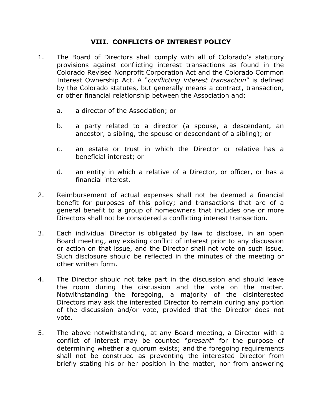#### **VIII. CONFLICTS OF INTEREST POLICY**

- 1. The Board of Directors shall comply with all of Colorado's statutory provisions against conflicting interest transactions as found in the Colorado Revised Nonprofit Corporation Act and the Colorado Common Interest Ownership Act. A "*conflicting interest transaction*" is defined by the Colorado statutes, but generally means a contract, transaction, or other financial relationship between the Association and:
	- a. a director of the Association; or
	- b. a party related to a director (a spouse, a descendant, an ancestor, a sibling, the spouse or descendant of a sibling); or
	- c. an estate or trust in which the Director or relative has a beneficial interest; or
	- d. an entity in which a relative of a Director, or officer, or has a financial interest.
- 2. Reimbursement of actual expenses shall not be deemed a financial benefit for purposes of this policy; and transactions that are of a general benefit to a group of homeowners that includes one or more Directors shall not be considered a conflicting interest transaction.
- 3. Each individual Director is obligated by law to disclose, in an open Board meeting, any existing conflict of interest prior to any discussion or action on that issue, and the Director shall not vote on such issue. Such disclosure should be reflected in the minutes of the meeting or other written form.
- 4. The Director should not take part in the discussion and should leave the room during the discussion and the vote on the matter. Notwithstanding the foregoing, a majority of the disinterested Directors may ask the interested Director to remain during any portion of the discussion and/or vote, provided that the Director does not vote.
- 5. The above notwithstanding, at any Board meeting, a Director with a conflict of interest may be counted "*present*" for the purpose of determining whether a quorum exists; and the foregoing requirements shall not be construed as preventing the interested Director from briefly stating his or her position in the matter, nor from answering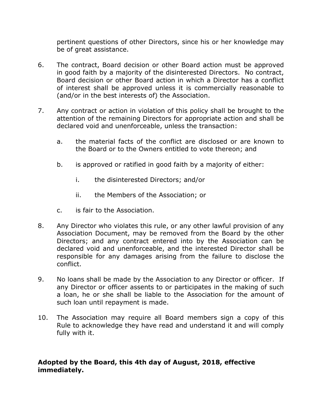pertinent questions of other Directors, since his or her knowledge may be of great assistance.

- 6. The contract, Board decision or other Board action must be approved in good faith by a majority of the disinterested Directors. No contract, Board decision or other Board action in which a Director has a conflict of interest shall be approved unless it is commercially reasonable to (and/or in the best interests of) the Association.
- 7. Any contract or action in violation of this policy shall be brought to the attention of the remaining Directors for appropriate action and shall be declared void and unenforceable, unless the transaction:
	- a. the material facts of the conflict are disclosed or are known to the Board or to the Owners entitled to vote thereon; and
	- b. is approved or ratified in good faith by a majority of either:
		- i. the disinterested Directors; and/or
		- ii. the Members of the Association; or
	- c. is fair to the Association.
- 8. Any Director who violates this rule, or any other lawful provision of any Association Document, may be removed from the Board by the other Directors; and any contract entered into by the Association can be declared void and unenforceable, and the interested Director shall be responsible for any damages arising from the failure to disclose the conflict.
- 9. No loans shall be made by the Association to any Director or officer. If any Director or officer assents to or participates in the making of such a loan, he or she shall be liable to the Association for the amount of such loan until repayment is made.
- 10. The Association may require all Board members sign a copy of this Rule to acknowledge they have read and understand it and will comply fully with it.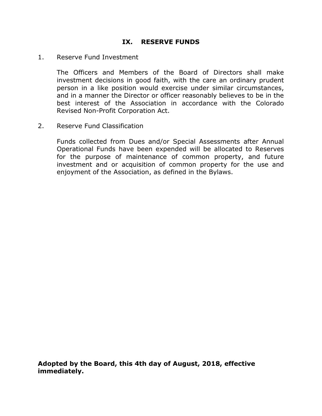#### **IX. RESERVE FUNDS**

#### 1. Reserve Fund Investment

The Officers and Members of the Board of Directors shall make investment decisions in good faith, with the care an ordinary prudent person in a like position would exercise under similar circumstances, and in a manner the Director or officer reasonably believes to be in the best interest of the Association in accordance with the Colorado Revised Non-Profit Corporation Act.

2. Reserve Fund Classification

Funds collected from Dues and/or Special Assessments after Annual Operational Funds have been expended will be allocated to Reserves for the purpose of maintenance of common property, and future investment and or acquisition of common property for the use and enjoyment of the Association, as defined in the Bylaws.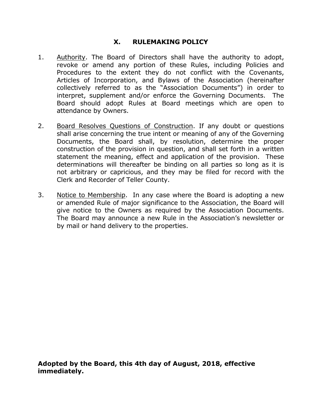#### **X. RULEMAKING POLICY**

- 1. Authority. The Board of Directors shall have the authority to adopt, revoke or amend any portion of these Rules, including Policies and Procedures to the extent they do not conflict with the Covenants, Articles of Incorporation, and Bylaws of the Association (hereinafter collectively referred to as the "Association Documents") in order to interpret, supplement and/or enforce the Governing Documents. The Board should adopt Rules at Board meetings which are open to attendance by Owners.
- 2. Board Resolves Questions of Construction. If any doubt or questions shall arise concerning the true intent or meaning of any of the Governing Documents, the Board shall, by resolution, determine the proper construction of the provision in question, and shall set forth in a written statement the meaning, effect and application of the provision. These determinations will thereafter be binding on all parties so long as it is not arbitrary or capricious, and they may be filed for record with the Clerk and Recorder of Teller County.
- 3. Notice to Membership. In any case where the Board is adopting a new or amended Rule of major significance to the Association, the Board will give notice to the Owners as required by the Association Documents. The Board may announce a new Rule in the Association's newsletter or by mail or hand delivery to the properties.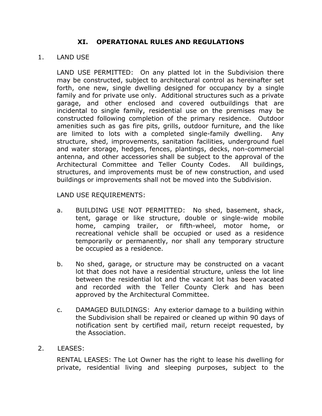#### **XI. OPERATIONAL RULES AND REGULATIONS**

#### 1. LAND USE

LAND USE PERMITTED: On any platted lot in the Subdivision there may be constructed, subject to architectural control as hereinafter set forth, one new, single dwelling designed for occupancy by a single family and for private use only. Additional structures such as a private garage, and other enclosed and covered outbuildings that are incidental to single family, residential use on the premises may be constructed following completion of the primary residence. Outdoor amenities such as gas fire pits, grills, outdoor furniture, and the like are limited to lots with a completed single-family dwelling. Any structure, shed, improvements, sanitation facilities, underground fuel and water storage, hedges, fences, plantings, decks, non-commercial antenna, and other accessories shall be subject to the approval of the Architectural Committee and Teller County Codes. All buildings, structures, and improvements must be of new construction, and used buildings or improvements shall not be moved into the Subdivision.

LAND USE REQUIREMENTS:

- a. BUILDING USE NOT PERMITTED: No shed, basement, shack, tent, garage or like structure, double or single-wide mobile home, camping trailer, or fifth-wheel, motor home, or recreational vehicle shall be occupied or used as a residence temporarily or permanently, nor shall any temporary structure be occupied as a residence.
- b. No shed, garage, or structure may be constructed on a vacant lot that does not have a residential structure, unless the lot line between the residential lot and the vacant lot has been vacated and recorded with the Teller County Clerk and has been approved by the Architectural Committee.
- c. DAMAGED BUILDINGS: Any exterior damage to a building within the Subdivision shall be repaired or cleaned up within 90 days of notification sent by certified mail, return receipt requested, by the Association.
- 2. LEASES:

RENTAL LEASES: The Lot Owner has the right to lease his dwelling for private, residential living and sleeping purposes, subject to the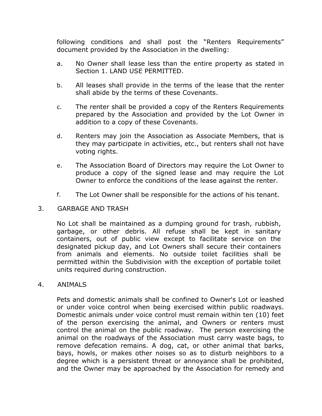following conditions and shall post the "Renters Requirements" document provided by the Association in the dwelling:

- a. No Owner shall lease less than the entire property as stated in Section 1. LAND USE PERMITTED.
- b. All leases shall provide in the terms of the lease that the renter shall abide by the terms of these Covenants.
- c. The renter shall be provided a copy of the Renters Requirements prepared by the Association and provided by the Lot Owner in addition to a copy of these Covenants.
- d. Renters may join the Association as Associate Members, that is they may participate in activities, etc., but renters shall not have voting rights.
- e. The Association Board of Directors may require the Lot Owner to produce a copy of the signed lease and may require the Lot Owner to enforce the conditions of the lease against the renter.
- f. The Lot Owner shall be responsible for the actions of his tenant.

#### 3. GARBAGE AND TRASH

No Lot shall be maintained as a dumping ground for trash, rubbish, garbage, or other debris. All refuse shall be kept in sanitary containers, out of public view except to facilitate service on the designated pickup day, and Lot Owners shall secure their containers from animals and elements. No outside toilet facilities shall be permitted within the Subdivision with the exception of portable toilet units required during construction.

#### 4. ANIMALS

Pets and domestic animals shall be confined to Owner's Lot or leashed or under voice control when being exercised within public roadways. Domestic animals under voice control must remain within ten (10) feet of the person exercising the animal, and Owners or renters must control the animal on the public roadway. The person exercising the animal on the roadways of the Association must carry waste bags, to remove defecation remains. A dog, cat, or other animal that barks, bays, howls, or makes other noises so as to disturb neighbors to a degree which is a persistent threat or annoyance shall be prohibited, and the Owner may be approached by the Association for remedy and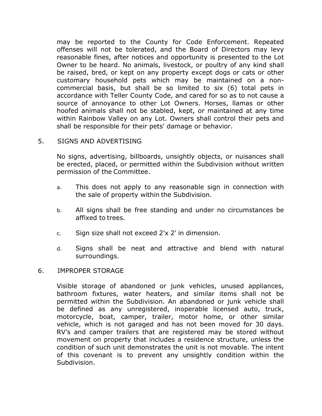may be reported to the County for Code Enforcement. Repeated offenses will not be tolerated, and the Board of Directors may levy reasonable fines, after notices and opportunity is presented to the Lot Owner to be heard. No animals, livestock, or poultry of any kind shall be raised, bred, or kept on any property except dogs or cats or other customary household pets which may be maintained on a noncommercial basis, but shall be so limited to six (6) total pets in accordance with Teller County Code, and cared for so as to not cause a source of annoyance to other Lot Owners. Horses, llamas or other hoofed animals shall not be stabled, kept, or maintained at any time within Rainbow Valley on any Lot. Owners shall control their pets and shall be responsible for their pets' damage or behavior.

#### 5. SIGNS AND ADVERTISING

No signs, advertising, billboards, unsightly objects, or nuisances shall be erected, placed, or permitted within the Subdivision without written permission of the Committee.

- a. This does not apply to any reasonable sign in connection with the sale of property within the Subdivision.
- b. All signs shall be free standing and under no circumstances be affixed to trees.
- c. Sign size shall not exceed 2'x 2' in dimension.
- d. Signs shall be neat and attractive and blend with natural surroundings.

#### 6. IMPROPER STORAGE

Visible storage of abandoned or junk vehicles, unused appliances, bathroom fixtures, water heaters, and similar items shall not be permitted within the Subdivision. An abandoned or junk vehicle shall be defined as any unregistered, inoperable licensed auto, truck, motorcycle, boat, camper, trailer, motor home, or other similar vehicle, which is not garaged and has not been moved for 30 days. RV's and camper trailers that are registered may be stored without movement on property that includes a residence structure, unless the condition of such unit demonstrates the unit is not movable. The intent of this covenant is to prevent any unsightly condition within the Subdivision.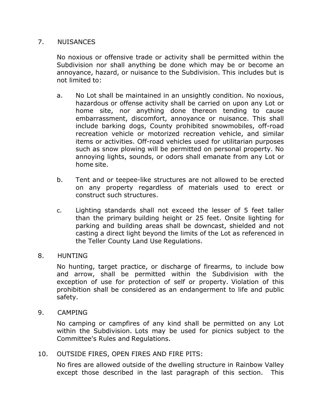#### 7. NUISANCES

No noxious or offensive trade or activity shall be permitted within the Subdivision nor shall anything be done which may be or become an annoyance, hazard, or nuisance to the Subdivision. This includes but is not limited to:

- a. No Lot shall be maintained in an unsightly condition. No noxious, hazardous or offense activity shall be carried on upon any Lot or home site, nor anything done thereon tending to cause embarrassment, discomfort, annoyance or nuisance. This shall include barking dogs, County prohibited snowmobiles, off-road recreation vehicle or motorized recreation vehicle, and similar items or activities. Off-road vehicles used for utilitarian purposes such as snow plowing will be permitted on personal property. No annoying lights, sounds, or odors shall emanate from any Lot or home site.
- b. Tent and or teepee-like structures are not allowed to be erected on any property regardless of materials used to erect or construct such structures.
- c. Lighting standards shall not exceed the lesser of 5 feet taller than the primary building height or 25 feet. Onsite lighting for parking and building areas shall be downcast, shielded and not casting a direct light beyond the limits of the Lot as referenced in the Teller County Land Use Regulations.

#### 8. HUNTING

No hunting, target practice, or discharge of firearms, to include bow and arrow, shall be permitted within the Subdivision with the exception of use for protection of self or property. Violation of this prohibition shall be considered as an endangerment to life and public safety.

9. CAMPING

No camping or campfires of any kind shall be permitted on any Lot within the Subdivision. Lots may be used for picnics subject to the Committee's Rules and Regulations.

10. OUTSIDE FIRES, OPEN FIRES AND FIRE PITS:

No fires are allowed outside of the dwelling structure in Rainbow Valley except those described in the last paragraph of this section. This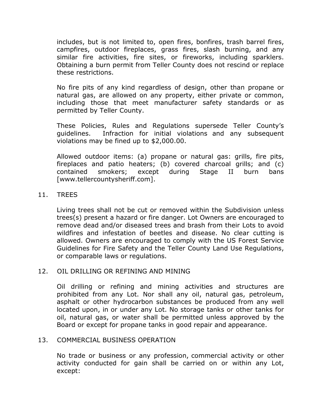includes, but is not limited to, open fires, bonfires, trash barrel fires, campfires, outdoor fireplaces, grass fires, slash burning, and any similar fire activities, fire sites, or fireworks, including sparklers. Obtaining a burn permit from Teller County does not rescind or replace these restrictions.

No fire pits of any kind regardless of design, other than propane or natural gas, are allowed on any property, either private or common, including those that meet manufacturer safety standards or as permitted by Teller County.

These Policies, Rules and Regulations supersede Teller County's guidelines. Infraction for initial violations and any subsequent violations may be fined up to \$2,000.00.

Allowed outdoor items: (a) propane or natural gas: grills, fire pits, fireplaces and patio heaters; (b) covered charcoal grills; and (c) contained smokers; except during Stage II burn bans [www.tellercountysheriff.com].

#### 11. TREES

Living trees shall not be cut or removed within the Subdivision unless trees(s) present a hazard or fire danger. Lot Owners are encouraged to remove dead and/or diseased trees and brash from their Lots to avoid wildfires and infestation of beetles and disease. No clear cutting is allowed. Owners are encouraged to comply with the US Forest Service Guidelines for Fire Safety and the Teller County Land Use Regulations, or comparable laws or regulations.

#### 12. OIL DRILLING OR REFINING AND MINING

Oil drilling or refining and mining activities and structures are prohibited from any Lot. Nor shall any oil, natural gas, petroleum, asphalt or other hydrocarbon substances be produced from any well located upon, in or under any Lot. No storage tanks or other tanks for oil, natural gas, or water shall be permitted unless approved by the Board or except for propane tanks in good repair and appearance.

#### 13. COMMERCIAL BUSINESS OPERATION

No trade or business or any profession, commercial activity or other activity conducted for gain shall be carried on or within any Lot, except: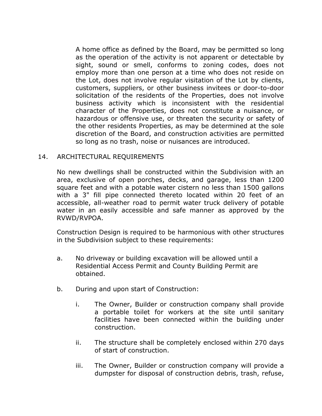A home office as defined by the Board, may be permitted so long as the operation of the activity is not apparent or detectable by sight, sound or smell, conforms to zoning codes, does not employ more than one person at a time who does not reside on the Lot, does not involve regular visitation of the Lot by clients, customers, suppliers, or other business invitees or door-to-door solicitation of the residents of the Properties, does not involve business activity which is inconsistent with the residential character of the Properties, does not constitute a nuisance, or hazardous or offensive use, or threaten the security or safety of the other residents Properties, as may be determined at the sole discretion of the Board, and construction activities are permitted so long as no trash, noise or nuisances are introduced.

#### 14. ARCHITECTURAL REQUIREMENTS

No new dwellings shall be constructed within the Subdivision with an area, exclusive of open porches, decks, and garage, less than 1200 square feet and with a potable water cistern no less than 1500 gallons with a 3" fill pipe connected thereto located within 20 feet of an accessible, all-weather road to permit water truck delivery of potable water in an easily accessible and safe manner as approved by the RVWD/RVPOA.

Construction Design is required to be harmonious with other structures in the Subdivision subject to these requirements:

- a. No driveway or building excavation will be allowed until a Residential Access Permit and County Building Permit are obtained.
- b. During and upon start of Construction:
	- i. The Owner, Builder or construction company shall provide a portable toilet for workers at the site until sanitary facilities have been connected within the building under construction.
	- ii. The structure shall be completely enclosed within 270 days of start of construction.
	- iii. The Owner, Builder or construction company will provide a dumpster for disposal of construction debris, trash, refuse,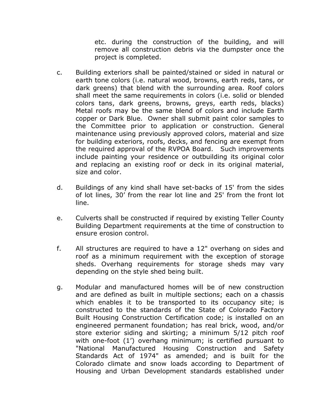etc. during the construction of the building, and will remove all construction debris via the dumpster once the project is completed.

- c. Building exteriors shall be painted/stained or sided in natural or earth tone colors (i.e. natural wood, browns, earth reds, tans, or dark greens) that blend with the surrounding area. Roof colors shall meet the same requirements in colors (i.e. solid or blended colors tans, dark greens, browns, greys, earth reds, blacks) Metal roofs may be the same blend of colors and include Earth copper or Dark Blue. Owner shall submit paint color samples to the Committee prior to application or construction. General maintenance using previously approved colors, material and size for building exteriors, roofs, decks, and fencing are exempt from the required approval of the RVPOA Board. Such improvements include painting your residence or outbuilding its original color and replacing an existing roof or deck in its original material, size and color.
- d. Buildings of any kind shall have set-backs of 15' from the sides of lot lines, 30' from the rear lot line and 25' from the front lot line.
- e. Culverts shall be constructed if required by existing Teller County Building Department requirements at the time of construction to ensure erosion control.
- f. All structures are required to have a 12" overhang on sides and roof as a minimum requirement with the exception of storage sheds. Overhang requirements for storage sheds may vary depending on the style shed being built.
- g. Modular and manufactured homes will be of new construction and are defined as built in multiple sections; each on a chassis which enables it to be transported to its occupancy site; is constructed to the standards of the State of Colorado Factory Built Housing Construction Certification code; is installed on an engineered permanent foundation; has real brick, wood, and/or store exterior siding and skirting; a minimum 5/12 pitch roof with one-foot (1') overhang minimum; is certified pursuant to "National Manufactured Housing Construction and Safety Standards Act of 1974" as amended; and is built for the Colorado climate and snow loads according to Department of Housing and Urban Development standards established under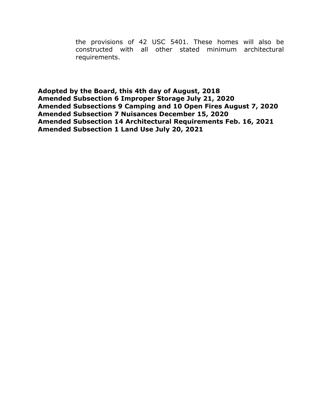the provisions of 42 USC 5401. These homes will also be constructed with all other stated minimum architectural requirements.

**Adopted by the Board, this 4th day of August, 2018 Amended Subsection 6 Improper Storage July 21, 2020 Amended Subsections 9 Camping and 10 Open Fires August 7, 2020 Amended Subsection 7 Nuisances December 15, 2020 Amended Subsection 14 Architectural Requirements Feb. 16, 2021 Amended Subsection 1 Land Use July 20, 2021**